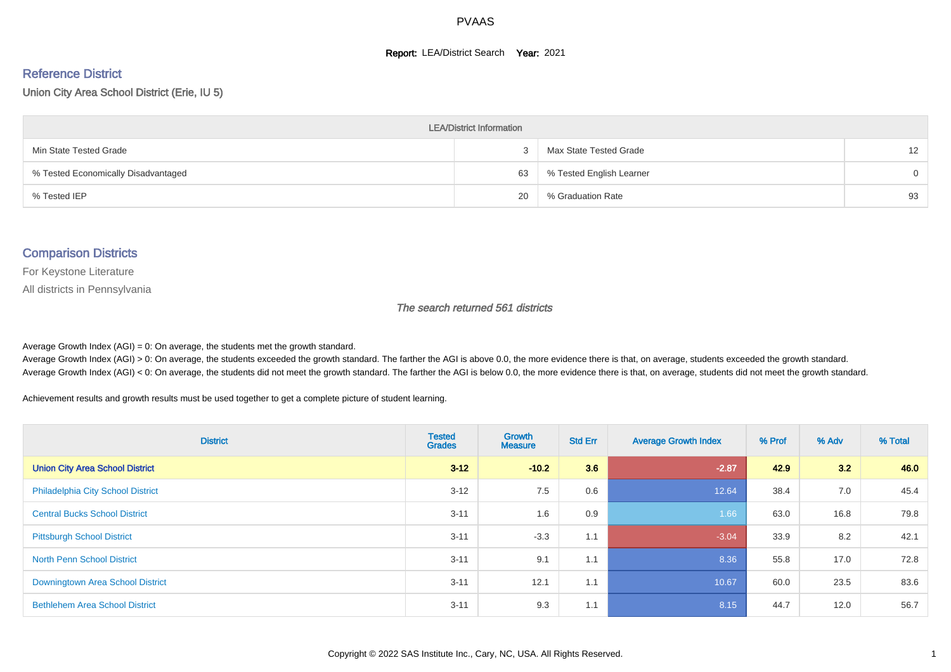#### **Report: LEA/District Search Year: 2021**

# Reference District

Union City Area School District (Erie, IU 5)

| <b>LEA/District Information</b>     |    |                          |                   |  |  |  |  |  |  |  |
|-------------------------------------|----|--------------------------|-------------------|--|--|--|--|--|--|--|
| Min State Tested Grade              |    | Max State Tested Grade   | $12 \overline{ }$ |  |  |  |  |  |  |  |
| % Tested Economically Disadvantaged | 63 | % Tested English Learner | $\Omega$          |  |  |  |  |  |  |  |
| % Tested IEP                        | 20 | % Graduation Rate        | 93                |  |  |  |  |  |  |  |

#### Comparison Districts

For Keystone Literature

All districts in Pennsylvania

The search returned 561 districts

Average Growth Index  $(AGI) = 0$ : On average, the students met the growth standard.

Average Growth Index (AGI) > 0: On average, the students exceeded the growth standard. The farther the AGI is above 0.0, the more evidence there is that, on average, students exceeded the growth standard. Average Growth Index (AGI) < 0: On average, the students did not meet the growth standard. The farther the AGI is below 0.0, the more evidence there is that, on average, students did not meet the growth standard.

Achievement results and growth results must be used together to get a complete picture of student learning.

| <b>District</b>                          | <b>Tested</b><br><b>Grades</b> | <b>Growth</b><br><b>Measure</b> | <b>Std Err</b> | <b>Average Growth Index</b> | % Prof | % Adv | % Total |
|------------------------------------------|--------------------------------|---------------------------------|----------------|-----------------------------|--------|-------|---------|
| <b>Union City Area School District</b>   | $3 - 12$                       | $-10.2$                         | 3.6            | $-2.87$                     | 42.9   | 3.2   | 46.0    |
| <b>Philadelphia City School District</b> | $3 - 12$                       | 7.5                             | 0.6            | 12.64                       | 38.4   | 7.0   | 45.4    |
| <b>Central Bucks School District</b>     | $3 - 11$                       | 1.6                             | 0.9            | 1.66                        | 63.0   | 16.8  | 79.8    |
| <b>Pittsburgh School District</b>        | $3 - 11$                       | $-3.3$                          | 1.1            | $-3.04$                     | 33.9   | 8.2   | 42.1    |
| <b>North Penn School District</b>        | $3 - 11$                       | 9.1                             | 1.1            | 8.36                        | 55.8   | 17.0  | 72.8    |
| Downingtown Area School District         | $3 - 11$                       | 12.1                            | 1.1            | 10.67                       | 60.0   | 23.5  | 83.6    |
| <b>Bethlehem Area School District</b>    | $3 - 11$                       | 9.3                             | 1.1            | 8.15                        | 44.7   | 12.0  | 56.7    |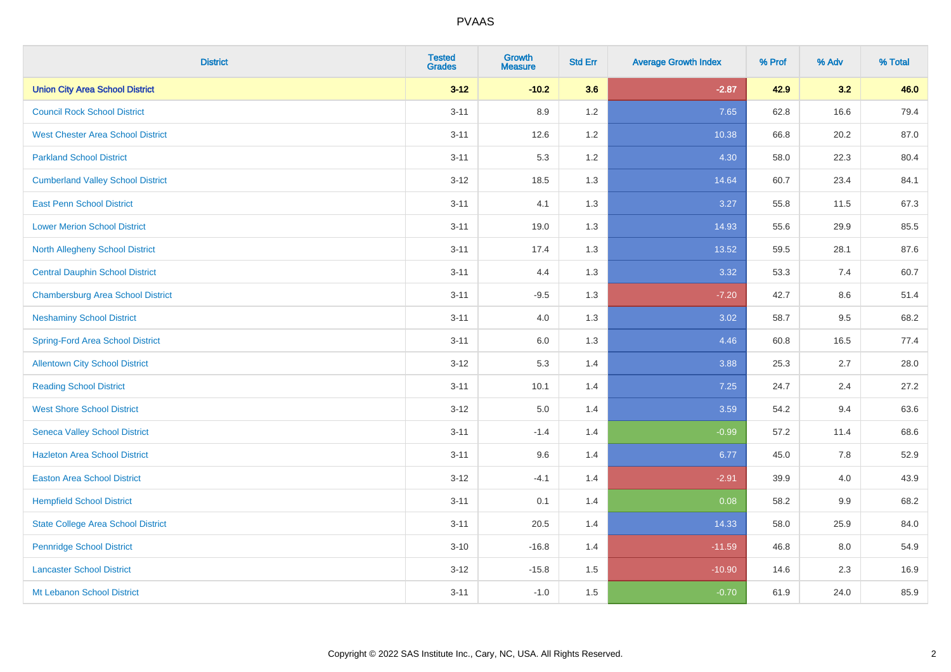| <b>District</b>                           | <b>Tested</b><br><b>Grades</b> | <b>Growth</b><br><b>Measure</b> | <b>Std Err</b> | <b>Average Growth Index</b> | % Prof | % Adv | % Total |
|-------------------------------------------|--------------------------------|---------------------------------|----------------|-----------------------------|--------|-------|---------|
| <b>Union City Area School District</b>    | $3 - 12$                       | $-10.2$                         | 3.6            | $-2.87$                     | 42.9   | 3.2   | 46.0    |
| <b>Council Rock School District</b>       | $3 - 11$                       | 8.9                             | $1.2\,$        | 7.65                        | 62.8   | 16.6  | 79.4    |
| <b>West Chester Area School District</b>  | $3 - 11$                       | 12.6                            | 1.2            | 10.38                       | 66.8   | 20.2  | 87.0    |
| <b>Parkland School District</b>           | $3 - 11$                       | 5.3                             | 1.2            | 4.30                        | 58.0   | 22.3  | 80.4    |
| <b>Cumberland Valley School District</b>  | $3 - 12$                       | 18.5                            | 1.3            | 14.64                       | 60.7   | 23.4  | 84.1    |
| <b>East Penn School District</b>          | $3 - 11$                       | 4.1                             | 1.3            | 3.27                        | 55.8   | 11.5  | 67.3    |
| <b>Lower Merion School District</b>       | $3 - 11$                       | 19.0                            | 1.3            | 14.93                       | 55.6   | 29.9  | 85.5    |
| North Allegheny School District           | $3 - 11$                       | 17.4                            | 1.3            | 13.52                       | 59.5   | 28.1  | 87.6    |
| <b>Central Dauphin School District</b>    | $3 - 11$                       | 4.4                             | 1.3            | 3.32                        | 53.3   | 7.4   | 60.7    |
| <b>Chambersburg Area School District</b>  | $3 - 11$                       | $-9.5$                          | 1.3            | $-7.20$                     | 42.7   | 8.6   | 51.4    |
| <b>Neshaminy School District</b>          | $3 - 11$                       | 4.0                             | 1.3            | 3.02                        | 58.7   | 9.5   | 68.2    |
| <b>Spring-Ford Area School District</b>   | $3 - 11$                       | 6.0                             | 1.3            | 4.46                        | 60.8   | 16.5  | 77.4    |
| <b>Allentown City School District</b>     | $3 - 12$                       | 5.3                             | 1.4            | 3.88                        | 25.3   | 2.7   | 28.0    |
| <b>Reading School District</b>            | $3 - 11$                       | 10.1                            | 1.4            | 7.25                        | 24.7   | 2.4   | 27.2    |
| <b>West Shore School District</b>         | $3 - 12$                       | 5.0                             | 1.4            | 3.59                        | 54.2   | 9.4   | 63.6    |
| <b>Seneca Valley School District</b>      | $3 - 11$                       | $-1.4$                          | 1.4            | $-0.99$                     | 57.2   | 11.4  | 68.6    |
| <b>Hazleton Area School District</b>      | $3 - 11$                       | 9.6                             | 1.4            | 6.77                        | 45.0   | 7.8   | 52.9    |
| <b>Easton Area School District</b>        | $3 - 12$                       | $-4.1$                          | 1.4            | $-2.91$                     | 39.9   | 4.0   | 43.9    |
| <b>Hempfield School District</b>          | $3 - 11$                       | 0.1                             | 1.4            | 0.08                        | 58.2   | 9.9   | 68.2    |
| <b>State College Area School District</b> | $3 - 11$                       | 20.5                            | 1.4            | 14.33                       | 58.0   | 25.9  | 84.0    |
| <b>Pennridge School District</b>          | $3 - 10$                       | $-16.8$                         | 1.4            | $-11.59$                    | 46.8   | 8.0   | 54.9    |
| <b>Lancaster School District</b>          | $3 - 12$                       | $-15.8$                         | 1.5            | $-10.90$                    | 14.6   | 2.3   | 16.9    |
| Mt Lebanon School District                | $3 - 11$                       | $-1.0$                          | 1.5            | $-0.70$                     | 61.9   | 24.0  | 85.9    |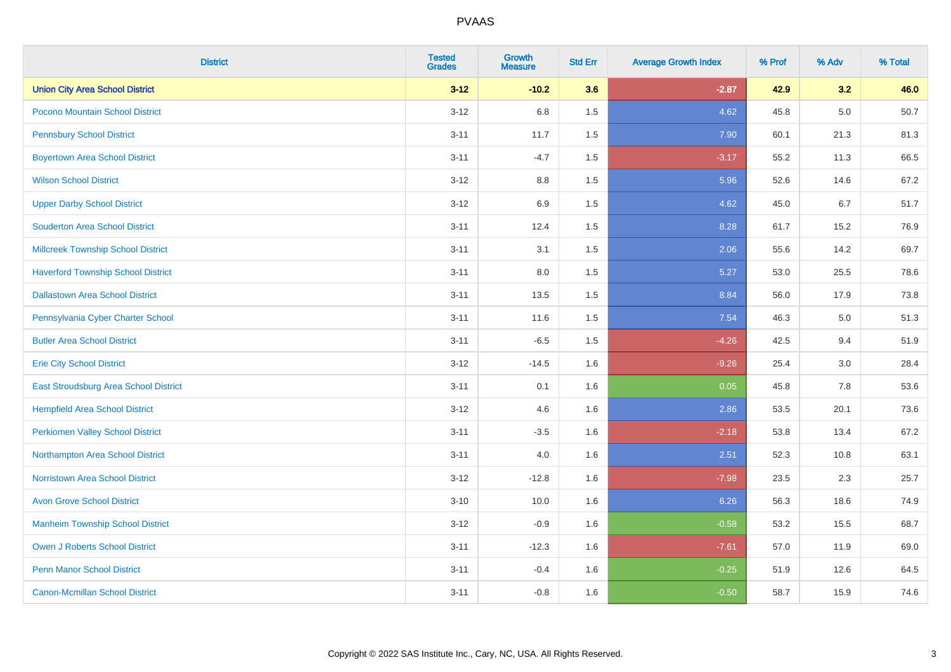| <b>District</b>                           | <b>Tested</b><br><b>Grades</b> | <b>Growth</b><br><b>Measure</b> | <b>Std Err</b> | <b>Average Growth Index</b> | % Prof | % Adv | % Total |
|-------------------------------------------|--------------------------------|---------------------------------|----------------|-----------------------------|--------|-------|---------|
| <b>Union City Area School District</b>    | $3 - 12$                       | $-10.2$                         | 3.6            | $-2.87$                     | 42.9   | 3.2   | 46.0    |
| Pocono Mountain School District           | $3 - 12$                       | 6.8                             | 1.5            | 4.62                        | 45.8   | 5.0   | 50.7    |
| <b>Pennsbury School District</b>          | $3 - 11$                       | 11.7                            | 1.5            | 7.90                        | 60.1   | 21.3  | 81.3    |
| <b>Boyertown Area School District</b>     | $3 - 11$                       | $-4.7$                          | 1.5            | $-3.17$                     | 55.2   | 11.3  | 66.5    |
| <b>Wilson School District</b>             | $3 - 12$                       | 8.8                             | 1.5            | 5.96                        | 52.6   | 14.6  | 67.2    |
| <b>Upper Darby School District</b>        | $3-12$                         | 6.9                             | 1.5            | 4.62                        | 45.0   | 6.7   | 51.7    |
| <b>Souderton Area School District</b>     | $3 - 11$                       | 12.4                            | 1.5            | 8.28                        | 61.7   | 15.2  | 76.9    |
| <b>Millcreek Township School District</b> | $3 - 11$                       | 3.1                             | 1.5            | 2.06                        | 55.6   | 14.2  | 69.7    |
| <b>Haverford Township School District</b> | $3 - 11$                       | 8.0                             | 1.5            | 5.27                        | 53.0   | 25.5  | 78.6    |
| <b>Dallastown Area School District</b>    | $3 - 11$                       | 13.5                            | 1.5            | 8.84                        | 56.0   | 17.9  | 73.8    |
| Pennsylvania Cyber Charter School         | $3 - 11$                       | 11.6                            | 1.5            | 7.54                        | 46.3   | 5.0   | 51.3    |
| <b>Butler Area School District</b>        | $3 - 11$                       | $-6.5$                          | 1.5            | $-4.26$                     | 42.5   | 9.4   | 51.9    |
| <b>Erie City School District</b>          | $3 - 12$                       | $-14.5$                         | 1.6            | $-9.26$                     | 25.4   | 3.0   | 28.4    |
| East Stroudsburg Area School District     | $3 - 11$                       | 0.1                             | 1.6            | 0.05                        | 45.8   | 7.8   | 53.6    |
| <b>Hempfield Area School District</b>     | $3-12$                         | 4.6                             | 1.6            | 2.86                        | 53.5   | 20.1  | 73.6    |
| <b>Perkiomen Valley School District</b>   | $3 - 11$                       | $-3.5$                          | 1.6            | $-2.18$                     | 53.8   | 13.4  | 67.2    |
| Northampton Area School District          | $3 - 11$                       | 4.0                             | 1.6            | 2.51                        | 52.3   | 10.8  | 63.1    |
| <b>Norristown Area School District</b>    | $3-12$                         | $-12.8$                         | 1.6            | $-7.98$                     | 23.5   | 2.3   | 25.7    |
| <b>Avon Grove School District</b>         | $3 - 10$                       | 10.0                            | 1.6            | 6.26                        | 56.3   | 18.6  | 74.9    |
| <b>Manheim Township School District</b>   | $3-12$                         | $-0.9$                          | 1.6            | $-0.58$                     | 53.2   | 15.5  | 68.7    |
| <b>Owen J Roberts School District</b>     | $3 - 11$                       | $-12.3$                         | 1.6            | $-7.61$                     | 57.0   | 11.9  | 69.0    |
| <b>Penn Manor School District</b>         | $3 - 11$                       | $-0.4$                          | 1.6            | $-0.25$                     | 51.9   | 12.6  | 64.5    |
| <b>Canon-Mcmillan School District</b>     | $3 - 11$                       | $-0.8$                          | 1.6            | $-0.50$                     | 58.7   | 15.9  | 74.6    |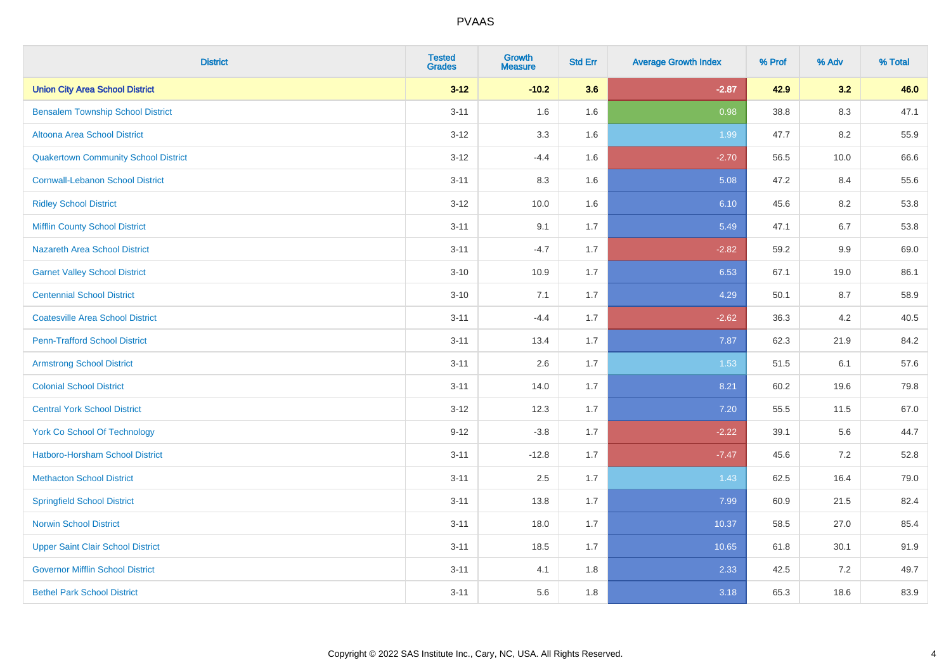| <b>District</b>                             | <b>Tested</b><br><b>Grades</b> | <b>Growth</b><br><b>Measure</b> | <b>Std Err</b> | <b>Average Growth Index</b> | % Prof | % Adv   | % Total |
|---------------------------------------------|--------------------------------|---------------------------------|----------------|-----------------------------|--------|---------|---------|
| <b>Union City Area School District</b>      | $3 - 12$                       | $-10.2$                         | 3.6            | $-2.87$                     | 42.9   | 3.2     | 46.0    |
| <b>Bensalem Township School District</b>    | $3 - 11$                       | 1.6                             | 1.6            | 0.98                        | 38.8   | 8.3     | 47.1    |
| Altoona Area School District                | $3 - 12$                       | 3.3                             | 1.6            | 1.99                        | 47.7   | 8.2     | 55.9    |
| <b>Quakertown Community School District</b> | $3 - 12$                       | $-4.4$                          | 1.6            | $-2.70$                     | 56.5   | 10.0    | 66.6    |
| <b>Cornwall-Lebanon School District</b>     | $3 - 11$                       | 8.3                             | 1.6            | 5.08                        | 47.2   | 8.4     | 55.6    |
| <b>Ridley School District</b>               | $3 - 12$                       | 10.0                            | 1.6            | 6.10                        | 45.6   | 8.2     | 53.8    |
| <b>Mifflin County School District</b>       | $3 - 11$                       | 9.1                             | 1.7            | 5.49                        | 47.1   | 6.7     | 53.8    |
| <b>Nazareth Area School District</b>        | $3 - 11$                       | $-4.7$                          | 1.7            | $-2.82$                     | 59.2   | 9.9     | 69.0    |
| <b>Garnet Valley School District</b>        | $3 - 10$                       | 10.9                            | 1.7            | 6.53                        | 67.1   | 19.0    | 86.1    |
| <b>Centennial School District</b>           | $3 - 10$                       | 7.1                             | 1.7            | 4.29                        | 50.1   | 8.7     | 58.9    |
| <b>Coatesville Area School District</b>     | $3 - 11$                       | $-4.4$                          | 1.7            | $-2.62$                     | 36.3   | 4.2     | 40.5    |
| <b>Penn-Trafford School District</b>        | $3 - 11$                       | 13.4                            | 1.7            | 7.87                        | 62.3   | 21.9    | 84.2    |
| <b>Armstrong School District</b>            | $3 - 11$                       | 2.6                             | 1.7            | 1.53                        | 51.5   | 6.1     | 57.6    |
| <b>Colonial School District</b>             | $3 - 11$                       | 14.0                            | 1.7            | 8.21                        | 60.2   | 19.6    | 79.8    |
| <b>Central York School District</b>         | $3 - 12$                       | 12.3                            | 1.7            | 7.20                        | 55.5   | 11.5    | 67.0    |
| York Co School Of Technology                | $9 - 12$                       | $-3.8$                          | 1.7            | $-2.22$                     | 39.1   | 5.6     | 44.7    |
| Hatboro-Horsham School District             | $3 - 11$                       | $-12.8$                         | 1.7            | $-7.47$                     | 45.6   | $7.2\,$ | 52.8    |
| <b>Methacton School District</b>            | $3 - 11$                       | 2.5                             | 1.7            | 1.43                        | 62.5   | 16.4    | 79.0    |
| <b>Springfield School District</b>          | $3 - 11$                       | 13.8                            | 1.7            | 7.99                        | 60.9   | 21.5    | 82.4    |
| <b>Norwin School District</b>               | $3 - 11$                       | 18.0                            | 1.7            | 10.37                       | 58.5   | 27.0    | 85.4    |
| <b>Upper Saint Clair School District</b>    | $3 - 11$                       | 18.5                            | 1.7            | 10.65                       | 61.8   | 30.1    | 91.9    |
| <b>Governor Mifflin School District</b>     | $3 - 11$                       | 4.1                             | 1.8            | 2.33                        | 42.5   | 7.2     | 49.7    |
| <b>Bethel Park School District</b>          | $3 - 11$                       | 5.6                             | 1.8            | 3.18                        | 65.3   | 18.6    | 83.9    |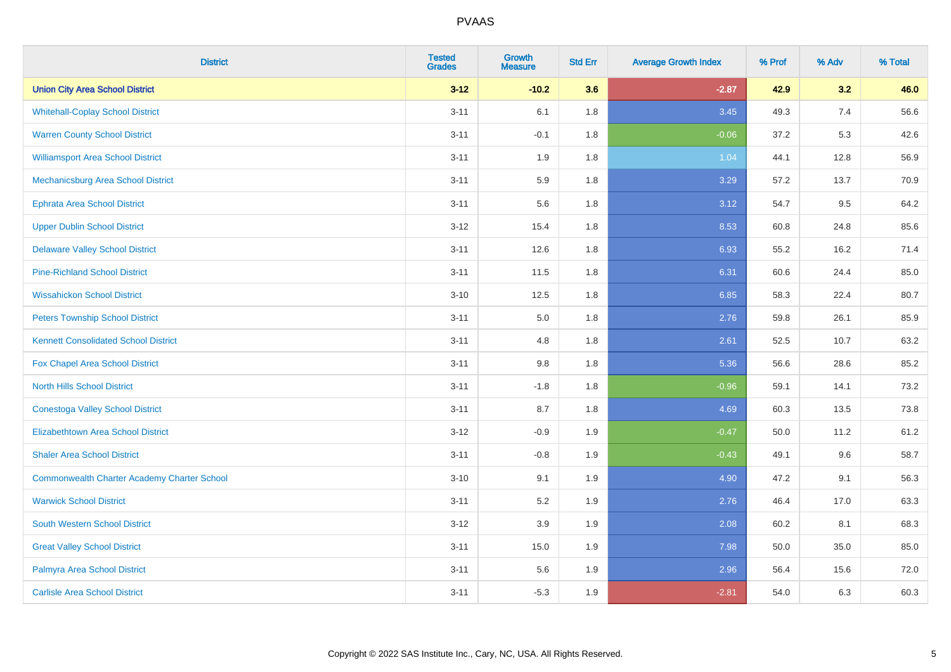| <b>District</b>                                    | <b>Tested</b><br><b>Grades</b> | <b>Growth</b><br><b>Measure</b> | <b>Std Err</b> | <b>Average Growth Index</b> | % Prof | % Adv | % Total |
|----------------------------------------------------|--------------------------------|---------------------------------|----------------|-----------------------------|--------|-------|---------|
| <b>Union City Area School District</b>             | $3 - 12$                       | $-10.2$                         | 3.6            | $-2.87$                     | 42.9   | 3.2   | 46.0    |
| <b>Whitehall-Coplay School District</b>            | $3 - 11$                       | 6.1                             | 1.8            | 3.45                        | 49.3   | 7.4   | 56.6    |
| <b>Warren County School District</b>               | $3 - 11$                       | $-0.1$                          | 1.8            | $-0.06$                     | 37.2   | 5.3   | 42.6    |
| <b>Williamsport Area School District</b>           | $3 - 11$                       | 1.9                             | 1.8            | 1.04                        | 44.1   | 12.8  | 56.9    |
| Mechanicsburg Area School District                 | $3 - 11$                       | 5.9                             | 1.8            | 3.29                        | 57.2   | 13.7  | 70.9    |
| <b>Ephrata Area School District</b>                | $3 - 11$                       | 5.6                             | 1.8            | 3.12                        | 54.7   | 9.5   | 64.2    |
| <b>Upper Dublin School District</b>                | $3 - 12$                       | 15.4                            | 1.8            | 8.53                        | 60.8   | 24.8  | 85.6    |
| <b>Delaware Valley School District</b>             | $3 - 11$                       | 12.6                            | 1.8            | 6.93                        | 55.2   | 16.2  | 71.4    |
| <b>Pine-Richland School District</b>               | $3 - 11$                       | 11.5                            | 1.8            | 6.31                        | 60.6   | 24.4  | 85.0    |
| <b>Wissahickon School District</b>                 | $3 - 10$                       | 12.5                            | 1.8            | 6.85                        | 58.3   | 22.4  | 80.7    |
| <b>Peters Township School District</b>             | $3 - 11$                       | 5.0                             | 1.8            | 2.76                        | 59.8   | 26.1  | 85.9    |
| <b>Kennett Consolidated School District</b>        | $3 - 11$                       | 4.8                             | 1.8            | 2.61                        | 52.5   | 10.7  | 63.2    |
| Fox Chapel Area School District                    | $3 - 11$                       | 9.8                             | 1.8            | 5.36                        | 56.6   | 28.6  | 85.2    |
| <b>North Hills School District</b>                 | $3 - 11$                       | $-1.8$                          | 1.8            | $-0.96$                     | 59.1   | 14.1  | 73.2    |
| <b>Conestoga Valley School District</b>            | $3 - 11$                       | 8.7                             | 1.8            | 4.69                        | 60.3   | 13.5  | 73.8    |
| <b>Elizabethtown Area School District</b>          | $3 - 12$                       | $-0.9$                          | 1.9            | $-0.47$                     | 50.0   | 11.2  | 61.2    |
| <b>Shaler Area School District</b>                 | $3 - 11$                       | $-0.8$                          | 1.9            | $-0.43$                     | 49.1   | 9.6   | 58.7    |
| <b>Commonwealth Charter Academy Charter School</b> | $3 - 10$                       | 9.1                             | 1.9            | 4.90                        | 47.2   | 9.1   | 56.3    |
| <b>Warwick School District</b>                     | $3 - 11$                       | 5.2                             | 1.9            | 2.76                        | 46.4   | 17.0  | 63.3    |
| South Western School District                      | $3 - 12$                       | 3.9                             | 1.9            | 2.08                        | 60.2   | 8.1   | 68.3    |
| <b>Great Valley School District</b>                | $3 - 11$                       | 15.0                            | 1.9            | 7.98                        | 50.0   | 35.0  | 85.0    |
| Palmyra Area School District                       | $3 - 11$                       | 5.6                             | 1.9            | 2.96                        | 56.4   | 15.6  | 72.0    |
| <b>Carlisle Area School District</b>               | $3 - 11$                       | $-5.3$                          | 1.9            | $-2.81$                     | 54.0   | 6.3   | 60.3    |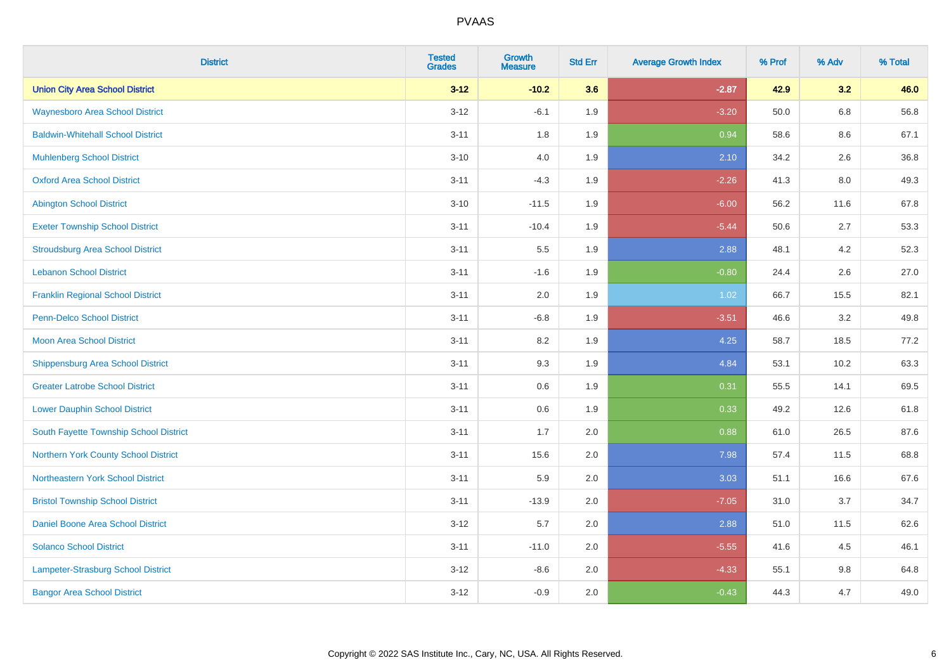| <b>District</b>                          | <b>Tested</b><br><b>Grades</b> | <b>Growth</b><br><b>Measure</b> | <b>Std Err</b> | <b>Average Growth Index</b> | % Prof | % Adv   | % Total |
|------------------------------------------|--------------------------------|---------------------------------|----------------|-----------------------------|--------|---------|---------|
| <b>Union City Area School District</b>   | $3 - 12$                       | $-10.2$                         | 3.6            | $-2.87$                     | 42.9   | 3.2     | 46.0    |
| <b>Waynesboro Area School District</b>   | $3 - 12$                       | $-6.1$                          | 1.9            | $-3.20$                     | 50.0   | $6.8\,$ | 56.8    |
| <b>Baldwin-Whitehall School District</b> | $3 - 11$                       | 1.8                             | 1.9            | 0.94                        | 58.6   | 8.6     | 67.1    |
| <b>Muhlenberg School District</b>        | $3 - 10$                       | 4.0                             | 1.9            | 2.10                        | 34.2   | 2.6     | 36.8    |
| <b>Oxford Area School District</b>       | $3 - 11$                       | $-4.3$                          | 1.9            | $-2.26$                     | 41.3   | 8.0     | 49.3    |
| <b>Abington School District</b>          | $3 - 10$                       | $-11.5$                         | 1.9            | $-6.00$                     | 56.2   | 11.6    | 67.8    |
| <b>Exeter Township School District</b>   | $3 - 11$                       | $-10.4$                         | 1.9            | $-5.44$                     | 50.6   | 2.7     | 53.3    |
| <b>Stroudsburg Area School District</b>  | $3 - 11$                       | 5.5                             | 1.9            | 2.88                        | 48.1   | 4.2     | 52.3    |
| <b>Lebanon School District</b>           | $3 - 11$                       | $-1.6$                          | 1.9            | $-0.80$                     | 24.4   | 2.6     | 27.0    |
| <b>Franklin Regional School District</b> | $3 - 11$                       | 2.0                             | 1.9            | 1.02                        | 66.7   | 15.5    | 82.1    |
| Penn-Delco School District               | $3 - 11$                       | $-6.8$                          | 1.9            | $-3.51$                     | 46.6   | 3.2     | 49.8    |
| <b>Moon Area School District</b>         | $3 - 11$                       | 8.2                             | 1.9            | 4.25                        | 58.7   | 18.5    | 77.2    |
| <b>Shippensburg Area School District</b> | $3 - 11$                       | 9.3                             | 1.9            | 4.84                        | 53.1   | 10.2    | 63.3    |
| <b>Greater Latrobe School District</b>   | $3 - 11$                       | 0.6                             | 1.9            | 0.31                        | 55.5   | 14.1    | 69.5    |
| <b>Lower Dauphin School District</b>     | $3 - 11$                       | 0.6                             | 1.9            | 0.33                        | 49.2   | 12.6    | 61.8    |
| South Fayette Township School District   | $3 - 11$                       | 1.7                             | 2.0            | 0.88                        | 61.0   | 26.5    | 87.6    |
| Northern York County School District     | $3 - 11$                       | 15.6                            | 2.0            | 7.98                        | 57.4   | 11.5    | 68.8    |
| Northeastern York School District        | $3 - 11$                       | 5.9                             | 2.0            | 3.03                        | 51.1   | 16.6    | 67.6    |
| <b>Bristol Township School District</b>  | $3 - 11$                       | $-13.9$                         | 2.0            | $-7.05$                     | 31.0   | 3.7     | 34.7    |
| Daniel Boone Area School District        | $3 - 12$                       | 5.7                             | 2.0            | 2.88                        | 51.0   | 11.5    | 62.6    |
| <b>Solanco School District</b>           | $3 - 11$                       | $-11.0$                         | 2.0            | $-5.55$                     | 41.6   | 4.5     | 46.1    |
| Lampeter-Strasburg School District       | $3 - 12$                       | $-8.6$                          | 2.0            | $-4.33$                     | 55.1   | $9.8\,$ | 64.8    |
| <b>Bangor Area School District</b>       | $3-12$                         | $-0.9$                          | 2.0            | $-0.43$                     | 44.3   | 4.7     | 49.0    |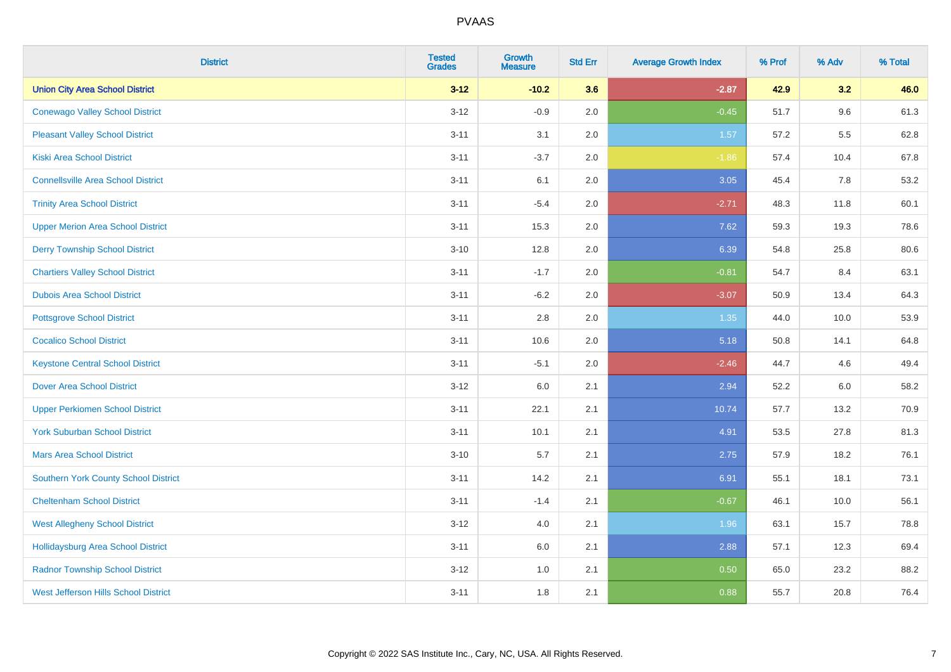| <b>District</b>                             | <b>Tested</b><br><b>Grades</b> | <b>Growth</b><br><b>Measure</b> | <b>Std Err</b> | <b>Average Growth Index</b> | % Prof | % Adv   | % Total |
|---------------------------------------------|--------------------------------|---------------------------------|----------------|-----------------------------|--------|---------|---------|
| <b>Union City Area School District</b>      | $3 - 12$                       | $-10.2$                         | 3.6            | $-2.87$                     | 42.9   | 3.2     | 46.0    |
| <b>Conewago Valley School District</b>      | $3 - 12$                       | $-0.9$                          | 2.0            | $-0.45$                     | 51.7   | 9.6     | 61.3    |
| <b>Pleasant Valley School District</b>      | $3 - 11$                       | 3.1                             | 2.0            | 1.57                        | 57.2   | 5.5     | 62.8    |
| Kiski Area School District                  | $3 - 11$                       | $-3.7$                          | 2.0            | $-1.86$                     | 57.4   | 10.4    | 67.8    |
| <b>Connellsville Area School District</b>   | $3 - 11$                       | 6.1                             | 2.0            | 3.05                        | 45.4   | 7.8     | 53.2    |
| <b>Trinity Area School District</b>         | $3 - 11$                       | $-5.4$                          | 2.0            | $-2.71$                     | 48.3   | 11.8    | 60.1    |
| <b>Upper Merion Area School District</b>    | $3 - 11$                       | 15.3                            | 2.0            | 7.62                        | 59.3   | 19.3    | 78.6    |
| <b>Derry Township School District</b>       | $3 - 10$                       | 12.8                            | 2.0            | 6.39                        | 54.8   | 25.8    | 80.6    |
| <b>Chartiers Valley School District</b>     | $3 - 11$                       | $-1.7$                          | 2.0            | $-0.81$                     | 54.7   | 8.4     | 63.1    |
| <b>Dubois Area School District</b>          | $3 - 11$                       | $-6.2$                          | 2.0            | $-3.07$                     | 50.9   | 13.4    | 64.3    |
| <b>Pottsgrove School District</b>           | $3 - 11$                       | 2.8                             | 2.0            | 1.35                        | 44.0   | 10.0    | 53.9    |
| <b>Cocalico School District</b>             | $3 - 11$                       | 10.6                            | 2.0            | 5.18                        | 50.8   | 14.1    | 64.8    |
| <b>Keystone Central School District</b>     | $3 - 11$                       | $-5.1$                          | 2.0            | $-2.46$                     | 44.7   | 4.6     | 49.4    |
| <b>Dover Area School District</b>           | $3 - 12$                       | 6.0                             | 2.1            | 2.94                        | 52.2   | $6.0\,$ | 58.2    |
| <b>Upper Perkiomen School District</b>      | $3 - 11$                       | 22.1                            | 2.1            | 10.74                       | 57.7   | 13.2    | 70.9    |
| <b>York Suburban School District</b>        | $3 - 11$                       | 10.1                            | 2.1            | 4.91                        | 53.5   | 27.8    | 81.3    |
| <b>Mars Area School District</b>            | $3 - 10$                       | 5.7                             | 2.1            | 2.75                        | 57.9   | 18.2    | 76.1    |
| Southern York County School District        | $3 - 11$                       | 14.2                            | 2.1            | 6.91                        | 55.1   | 18.1    | 73.1    |
| <b>Cheltenham School District</b>           | $3 - 11$                       | $-1.4$                          | 2.1            | $-0.67$                     | 46.1   | 10.0    | 56.1    |
| <b>West Allegheny School District</b>       | $3 - 12$                       | 4.0                             | 2.1            | 1.96                        | 63.1   | 15.7    | 78.8    |
| <b>Hollidaysburg Area School District</b>   | $3 - 11$                       | 6.0                             | 2.1            | 2.88                        | 57.1   | 12.3    | 69.4    |
| <b>Radnor Township School District</b>      | $3 - 12$                       | 1.0                             | 2.1            | 0.50                        | 65.0   | 23.2    | 88.2    |
| <b>West Jefferson Hills School District</b> | $3 - 11$                       | 1.8                             | 2.1            | 0.88                        | 55.7   | 20.8    | 76.4    |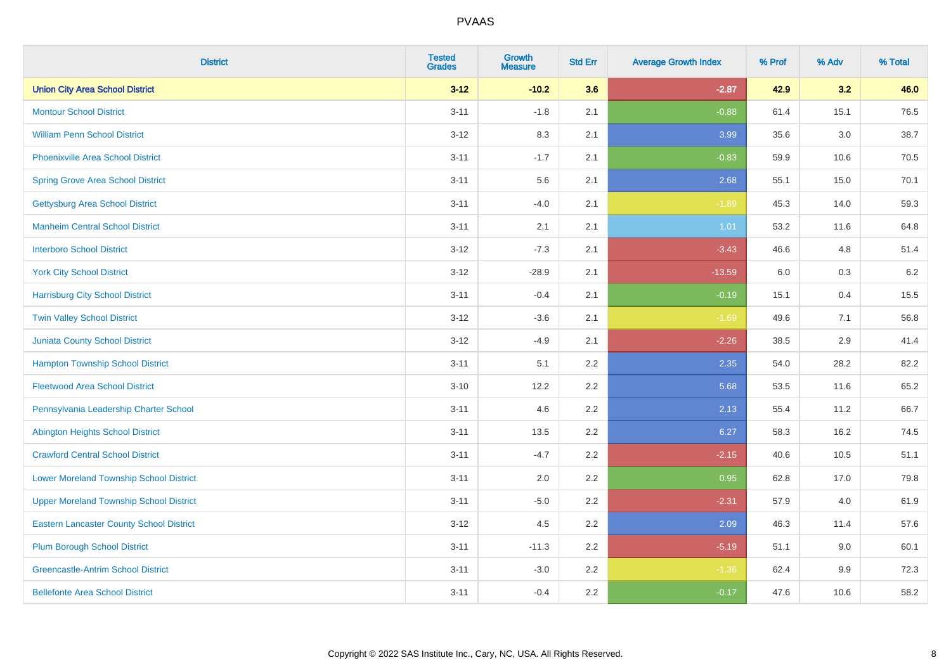| <b>District</b>                                 | <b>Tested</b><br><b>Grades</b> | <b>Growth</b><br><b>Measure</b> | <b>Std Err</b> | <b>Average Growth Index</b> | % Prof | % Adv   | % Total |
|-------------------------------------------------|--------------------------------|---------------------------------|----------------|-----------------------------|--------|---------|---------|
| <b>Union City Area School District</b>          | $3 - 12$                       | $-10.2$                         | 3.6            | $-2.87$                     | 42.9   | 3.2     | 46.0    |
| <b>Montour School District</b>                  | $3 - 11$                       | $-1.8$                          | 2.1            | $-0.88$                     | 61.4   | 15.1    | 76.5    |
| <b>William Penn School District</b>             | $3 - 12$                       | 8.3                             | 2.1            | 3.99                        | 35.6   | 3.0     | 38.7    |
| <b>Phoenixville Area School District</b>        | $3 - 11$                       | $-1.7$                          | 2.1            | $-0.83$                     | 59.9   | 10.6    | 70.5    |
| <b>Spring Grove Area School District</b>        | $3 - 11$                       | 5.6                             | 2.1            | 2.68                        | 55.1   | 15.0    | 70.1    |
| <b>Gettysburg Area School District</b>          | $3 - 11$                       | $-4.0$                          | 2.1            | $-1.89$                     | 45.3   | 14.0    | 59.3    |
| <b>Manheim Central School District</b>          | $3 - 11$                       | 2.1                             | 2.1            | 1.01                        | 53.2   | 11.6    | 64.8    |
| <b>Interboro School District</b>                | $3 - 12$                       | $-7.3$                          | 2.1            | $-3.43$                     | 46.6   | 4.8     | 51.4    |
| <b>York City School District</b>                | $3 - 12$                       | $-28.9$                         | 2.1            | $-13.59$                    | 6.0    | $0.3\,$ | 6.2     |
| <b>Harrisburg City School District</b>          | $3 - 11$                       | $-0.4$                          | 2.1            | $-0.19$                     | 15.1   | 0.4     | 15.5    |
| <b>Twin Valley School District</b>              | $3 - 12$                       | $-3.6$                          | 2.1            | $-1.69$                     | 49.6   | 7.1     | 56.8    |
| <b>Juniata County School District</b>           | $3 - 12$                       | $-4.9$                          | 2.1            | $-2.26$                     | 38.5   | 2.9     | 41.4    |
| <b>Hampton Township School District</b>         | $3 - 11$                       | 5.1                             | 2.2            | 2.35                        | 54.0   | 28.2    | 82.2    |
| <b>Fleetwood Area School District</b>           | $3 - 10$                       | 12.2                            | 2.2            | 5.68                        | 53.5   | 11.6    | 65.2    |
| Pennsylvania Leadership Charter School          | $3 - 11$                       | 4.6                             | 2.2            | 2.13                        | 55.4   | 11.2    | 66.7    |
| <b>Abington Heights School District</b>         | $3 - 11$                       | 13.5                            | 2.2            | 6.27                        | 58.3   | 16.2    | 74.5    |
| <b>Crawford Central School District</b>         | $3 - 11$                       | $-4.7$                          | 2.2            | $-2.15$                     | 40.6   | 10.5    | 51.1    |
| <b>Lower Moreland Township School District</b>  | $3 - 11$                       | 2.0                             | 2.2            | 0.95                        | 62.8   | 17.0    | 79.8    |
| <b>Upper Moreland Township School District</b>  | $3 - 11$                       | $-5.0$                          | 2.2            | $-2.31$                     | 57.9   | 4.0     | 61.9    |
| <b>Eastern Lancaster County School District</b> | $3 - 12$                       | 4.5                             | 2.2            | 2.09                        | 46.3   | 11.4    | 57.6    |
| <b>Plum Borough School District</b>             | $3 - 11$                       | $-11.3$                         | 2.2            | $-5.19$                     | 51.1   | 9.0     | 60.1    |
| <b>Greencastle-Antrim School District</b>       | $3 - 11$                       | $-3.0$                          | 2.2            | $-1.36$                     | 62.4   | 9.9     | 72.3    |
| <b>Bellefonte Area School District</b>          | $3 - 11$                       | $-0.4$                          | 2.2            | $-0.17$                     | 47.6   | 10.6    | 58.2    |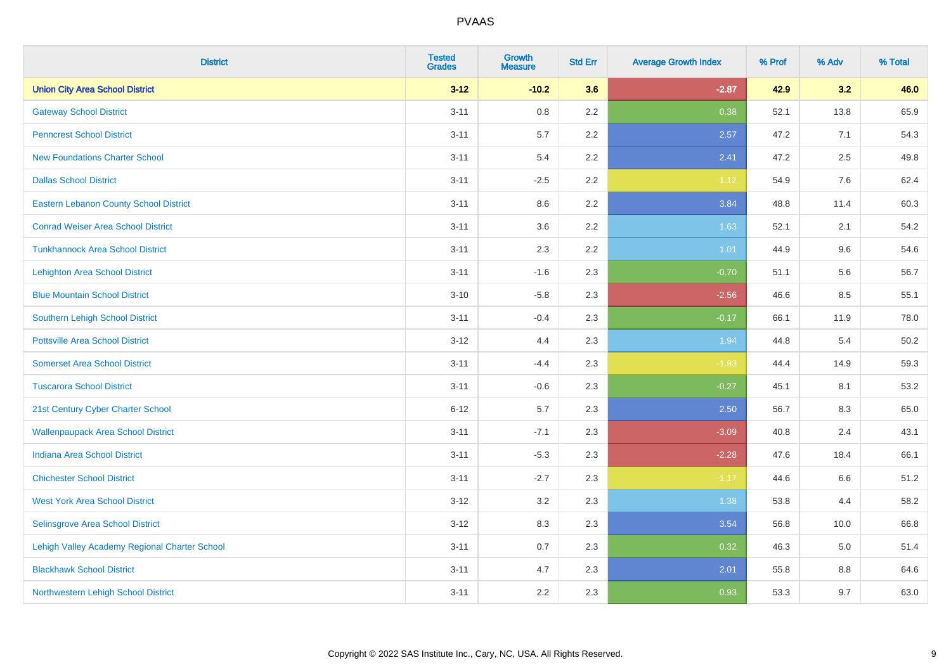| <b>District</b>                               | <b>Tested</b><br><b>Grades</b> | <b>Growth</b><br><b>Measure</b> | <b>Std Err</b> | <b>Average Growth Index</b> | % Prof | % Adv   | % Total |
|-----------------------------------------------|--------------------------------|---------------------------------|----------------|-----------------------------|--------|---------|---------|
| <b>Union City Area School District</b>        | $3 - 12$                       | $-10.2$                         | 3.6            | $-2.87$                     | 42.9   | 3.2     | 46.0    |
| <b>Gateway School District</b>                | $3 - 11$                       | 0.8                             | 2.2            | 0.38                        | 52.1   | 13.8    | 65.9    |
| <b>Penncrest School District</b>              | $3 - 11$                       | 5.7                             | 2.2            | 2.57                        | 47.2   | 7.1     | 54.3    |
| <b>New Foundations Charter School</b>         | $3 - 11$                       | 5.4                             | 2.2            | 2.41                        | 47.2   | 2.5     | 49.8    |
| <b>Dallas School District</b>                 | $3 - 11$                       | $-2.5$                          | 2.2            | $-1.12$                     | 54.9   | 7.6     | 62.4    |
| <b>Eastern Lebanon County School District</b> | $3 - 11$                       | 8.6                             | 2.2            | 3.84                        | 48.8   | 11.4    | 60.3    |
| <b>Conrad Weiser Area School District</b>     | $3 - 11$                       | 3.6                             | 2.2            | 1.63                        | 52.1   | 2.1     | 54.2    |
| <b>Tunkhannock Area School District</b>       | $3 - 11$                       | 2.3                             | 2.2            | 1.01                        | 44.9   | 9.6     | 54.6    |
| <b>Lehighton Area School District</b>         | $3 - 11$                       | $-1.6$                          | 2.3            | $-0.70$                     | 51.1   | 5.6     | 56.7    |
| <b>Blue Mountain School District</b>          | $3 - 10$                       | $-5.8$                          | 2.3            | $-2.56$                     | 46.6   | 8.5     | 55.1    |
| <b>Southern Lehigh School District</b>        | $3 - 11$                       | $-0.4$                          | 2.3            | $-0.17$                     | 66.1   | 11.9    | 78.0    |
| <b>Pottsville Area School District</b>        | $3 - 12$                       | 4.4                             | 2.3            | 1.94                        | 44.8   | 5.4     | 50.2    |
| <b>Somerset Area School District</b>          | $3 - 11$                       | $-4.4$                          | 2.3            | $-1.93$                     | 44.4   | 14.9    | 59.3    |
| <b>Tuscarora School District</b>              | $3 - 11$                       | $-0.6$                          | 2.3            | $-0.27$                     | 45.1   | 8.1     | 53.2    |
| 21st Century Cyber Charter School             | $6 - 12$                       | 5.7                             | 2.3            | 2.50                        | 56.7   | 8.3     | 65.0    |
| <b>Wallenpaupack Area School District</b>     | $3 - 11$                       | $-7.1$                          | 2.3            | $-3.09$                     | 40.8   | 2.4     | 43.1    |
| <b>Indiana Area School District</b>           | $3 - 11$                       | $-5.3$                          | 2.3            | $-2.28$                     | 47.6   | 18.4    | 66.1    |
| <b>Chichester School District</b>             | $3 - 11$                       | $-2.7$                          | 2.3            | $-1.17$                     | 44.6   | 6.6     | 51.2    |
| <b>West York Area School District</b>         | $3-12$                         | 3.2                             | 2.3            | 1.38                        | 53.8   | 4.4     | 58.2    |
| Selinsgrove Area School District              | $3 - 12$                       | 8.3                             | 2.3            | 3.54                        | 56.8   | 10.0    | 66.8    |
| Lehigh Valley Academy Regional Charter School | $3 - 11$                       | 0.7                             | 2.3            | 0.32                        | 46.3   | 5.0     | 51.4    |
| <b>Blackhawk School District</b>              | $3 - 11$                       | 4.7                             | 2.3            | 2.01                        | 55.8   | $8.8\,$ | 64.6    |
| Northwestern Lehigh School District           | $3 - 11$                       | 2.2                             | 2.3            | 0.93                        | 53.3   | 9.7     | 63.0    |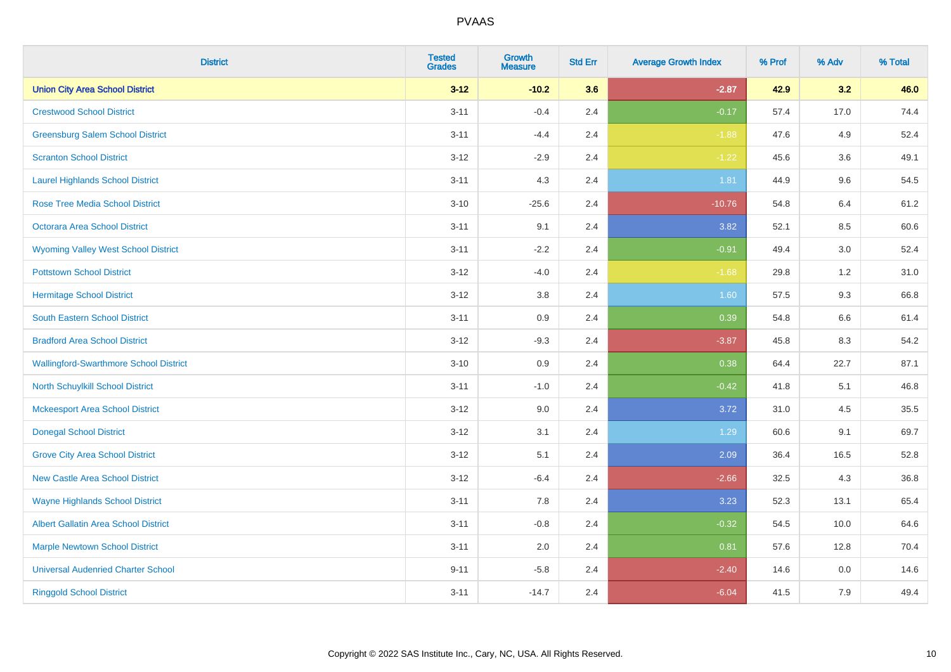| <b>District</b>                               | <b>Tested</b><br><b>Grades</b> | <b>Growth</b><br><b>Measure</b> | <b>Std Err</b> | <b>Average Growth Index</b> | % Prof | % Adv   | % Total |
|-----------------------------------------------|--------------------------------|---------------------------------|----------------|-----------------------------|--------|---------|---------|
| <b>Union City Area School District</b>        | $3 - 12$                       | $-10.2$                         | 3.6            | $-2.87$                     | 42.9   | 3.2     | 46.0    |
| <b>Crestwood School District</b>              | $3 - 11$                       | $-0.4$                          | 2.4            | $-0.17$                     | 57.4   | 17.0    | 74.4    |
| <b>Greensburg Salem School District</b>       | $3 - 11$                       | $-4.4$                          | 2.4            | $-1.88$                     | 47.6   | 4.9     | 52.4    |
| <b>Scranton School District</b>               | $3 - 12$                       | $-2.9$                          | 2.4            | $-1.22$                     | 45.6   | 3.6     | 49.1    |
| <b>Laurel Highlands School District</b>       | $3 - 11$                       | 4.3                             | 2.4            | 1.81                        | 44.9   | 9.6     | 54.5    |
| <b>Rose Tree Media School District</b>        | $3 - 10$                       | $-25.6$                         | 2.4            | $-10.76$                    | 54.8   | 6.4     | 61.2    |
| Octorara Area School District                 | $3 - 11$                       | 9.1                             | 2.4            | 3.82                        | 52.1   | 8.5     | 60.6    |
| <b>Wyoming Valley West School District</b>    | $3 - 11$                       | $-2.2$                          | 2.4            | $-0.91$                     | 49.4   | 3.0     | 52.4    |
| <b>Pottstown School District</b>              | $3 - 12$                       | $-4.0$                          | 2.4            | $-1.68$                     | 29.8   | $1.2$   | 31.0    |
| <b>Hermitage School District</b>              | $3 - 12$                       | 3.8                             | 2.4            | 1.60                        | 57.5   | 9.3     | 66.8    |
| <b>South Eastern School District</b>          | $3 - 11$                       | 0.9                             | 2.4            | 0.39                        | 54.8   | 6.6     | 61.4    |
| <b>Bradford Area School District</b>          | $3 - 12$                       | $-9.3$                          | 2.4            | $-3.87$                     | 45.8   | 8.3     | 54.2    |
| <b>Wallingford-Swarthmore School District</b> | $3 - 10$                       | $0.9\,$                         | 2.4            | 0.38                        | 64.4   | 22.7    | 87.1    |
| North Schuylkill School District              | $3 - 11$                       | $-1.0$                          | 2.4            | $-0.42$                     | 41.8   | 5.1     | 46.8    |
| <b>Mckeesport Area School District</b>        | $3 - 12$                       | 9.0                             | 2.4            | 3.72                        | 31.0   | 4.5     | 35.5    |
| <b>Donegal School District</b>                | $3 - 12$                       | 3.1                             | 2.4            | 1.29                        | 60.6   | 9.1     | 69.7    |
| <b>Grove City Area School District</b>        | $3 - 12$                       | 5.1                             | 2.4            | 2.09                        | 36.4   | 16.5    | 52.8    |
| <b>New Castle Area School District</b>        | $3 - 12$                       | $-6.4$                          | 2.4            | $-2.66$                     | 32.5   | 4.3     | 36.8    |
| <b>Wayne Highlands School District</b>        | $3 - 11$                       | 7.8                             | 2.4            | 3.23                        | 52.3   | 13.1    | 65.4    |
| <b>Albert Gallatin Area School District</b>   | $3 - 11$                       | $-0.8$                          | 2.4            | $-0.32$                     | 54.5   | 10.0    | 64.6    |
| <b>Marple Newtown School District</b>         | $3 - 11$                       | 2.0                             | 2.4            | 0.81                        | 57.6   | 12.8    | 70.4    |
| <b>Universal Audenried Charter School</b>     | $9 - 11$                       | $-5.8$                          | 2.4            | $-2.40$                     | 14.6   | $0.0\,$ | 14.6    |
| <b>Ringgold School District</b>               | $3 - 11$                       | $-14.7$                         | 2.4            | $-6.04$                     | 41.5   | 7.9     | 49.4    |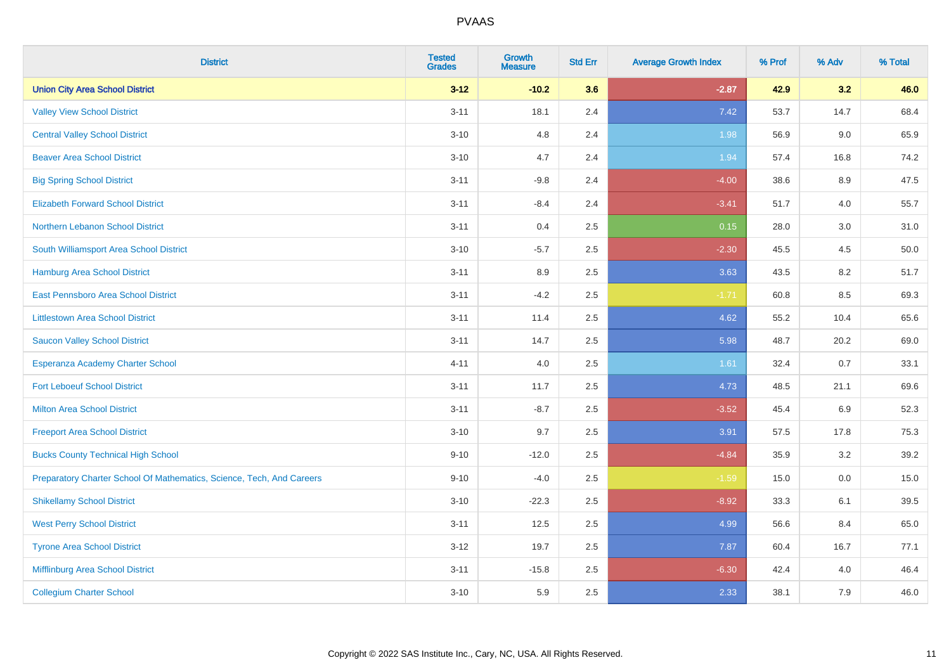| <b>District</b>                                                       | <b>Tested</b><br><b>Grades</b> | <b>Growth</b><br><b>Measure</b> | <b>Std Err</b> | <b>Average Growth Index</b> | % Prof | % Adv | % Total |
|-----------------------------------------------------------------------|--------------------------------|---------------------------------|----------------|-----------------------------|--------|-------|---------|
| <b>Union City Area School District</b>                                | $3 - 12$                       | $-10.2$                         | 3.6            | $-2.87$                     | 42.9   | 3.2   | 46.0    |
| <b>Valley View School District</b>                                    | $3 - 11$                       | 18.1                            | 2.4            | 7.42                        | 53.7   | 14.7  | 68.4    |
| <b>Central Valley School District</b>                                 | $3 - 10$                       | 4.8                             | 2.4            | 1.98                        | 56.9   | 9.0   | 65.9    |
| <b>Beaver Area School District</b>                                    | $3 - 10$                       | 4.7                             | 2.4            | 1.94                        | 57.4   | 16.8  | 74.2    |
| <b>Big Spring School District</b>                                     | $3 - 11$                       | $-9.8$                          | 2.4            | $-4.00$                     | 38.6   | 8.9   | 47.5    |
| <b>Elizabeth Forward School District</b>                              | $3 - 11$                       | $-8.4$                          | 2.4            | $-3.41$                     | 51.7   | 4.0   | 55.7    |
| Northern Lebanon School District                                      | $3 - 11$                       | 0.4                             | 2.5            | 0.15                        | 28.0   | 3.0   | 31.0    |
| South Williamsport Area School District                               | $3 - 10$                       | $-5.7$                          | 2.5            | $-2.30$                     | 45.5   | 4.5   | 50.0    |
| Hamburg Area School District                                          | $3 - 11$                       | 8.9                             | 2.5            | 3.63                        | 43.5   | 8.2   | 51.7    |
| East Pennsboro Area School District                                   | $3 - 11$                       | $-4.2$                          | 2.5            | $-1.71$                     | 60.8   | 8.5   | 69.3    |
| <b>Littlestown Area School District</b>                               | $3 - 11$                       | 11.4                            | 2.5            | 4.62                        | 55.2   | 10.4  | 65.6    |
| <b>Saucon Valley School District</b>                                  | $3 - 11$                       | 14.7                            | 2.5            | 5.98                        | 48.7   | 20.2  | 69.0    |
| Esperanza Academy Charter School                                      | $4 - 11$                       | 4.0                             | 2.5            | 1.61                        | 32.4   | 0.7   | 33.1    |
| <b>Fort Leboeuf School District</b>                                   | $3 - 11$                       | 11.7                            | 2.5            | 4.73                        | 48.5   | 21.1  | 69.6    |
| <b>Milton Area School District</b>                                    | $3 - 11$                       | $-8.7$                          | 2.5            | $-3.52$                     | 45.4   | 6.9   | 52.3    |
| <b>Freeport Area School District</b>                                  | $3 - 10$                       | 9.7                             | 2.5            | 3.91                        | 57.5   | 17.8  | 75.3    |
| <b>Bucks County Technical High School</b>                             | $9 - 10$                       | $-12.0$                         | 2.5            | $-4.84$                     | 35.9   | 3.2   | 39.2    |
| Preparatory Charter School Of Mathematics, Science, Tech, And Careers | $9 - 10$                       | $-4.0$                          | 2.5            | $-1.59$                     | 15.0   | 0.0   | 15.0    |
| <b>Shikellamy School District</b>                                     | $3 - 10$                       | $-22.3$                         | 2.5            | $-8.92$                     | 33.3   | 6.1   | 39.5    |
| <b>West Perry School District</b>                                     | $3 - 11$                       | 12.5                            | 2.5            | 4.99                        | 56.6   | 8.4   | 65.0    |
| <b>Tyrone Area School District</b>                                    | $3 - 12$                       | 19.7                            | 2.5            | 7.87                        | 60.4   | 16.7  | 77.1    |
| Mifflinburg Area School District                                      | $3 - 11$                       | $-15.8$                         | 2.5            | $-6.30$                     | 42.4   | 4.0   | 46.4    |
| <b>Collegium Charter School</b>                                       | $3 - 10$                       | 5.9                             | 2.5            | 2.33                        | 38.1   | 7.9   | 46.0    |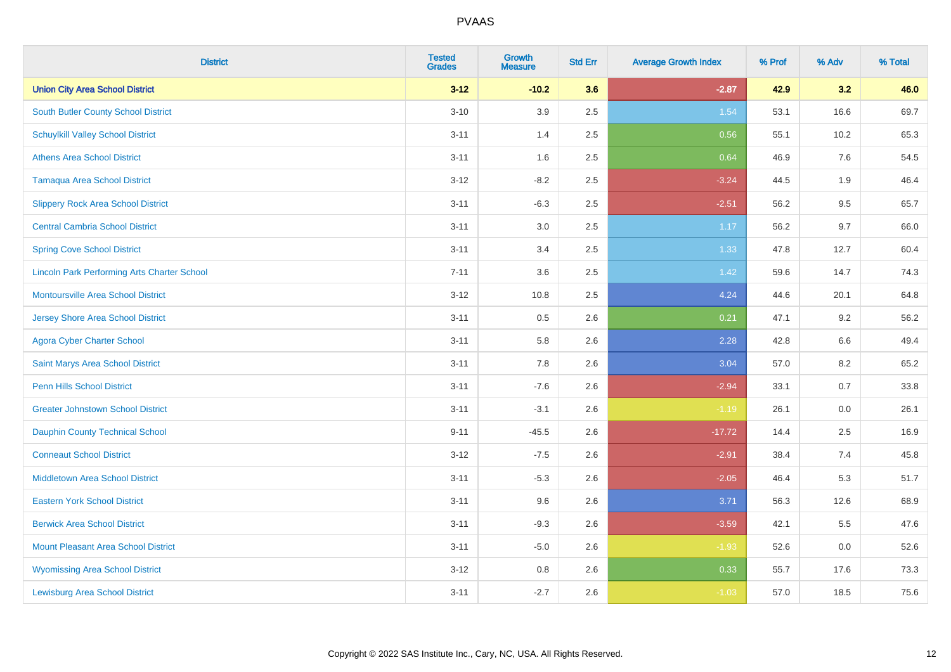| <b>District</b>                                    | <b>Tested</b><br><b>Grades</b> | <b>Growth</b><br><b>Measure</b> | <b>Std Err</b> | <b>Average Growth Index</b> | % Prof | % Adv   | % Total |
|----------------------------------------------------|--------------------------------|---------------------------------|----------------|-----------------------------|--------|---------|---------|
| <b>Union City Area School District</b>             | $3 - 12$                       | $-10.2$                         | 3.6            | $-2.87$                     | 42.9   | 3.2     | 46.0    |
| South Butler County School District                | $3 - 10$                       | 3.9                             | 2.5            | 1.54                        | 53.1   | 16.6    | 69.7    |
| <b>Schuylkill Valley School District</b>           | $3 - 11$                       | 1.4                             | 2.5            | 0.56                        | 55.1   | 10.2    | 65.3    |
| <b>Athens Area School District</b>                 | $3 - 11$                       | 1.6                             | 2.5            | 0.64                        | 46.9   | 7.6     | 54.5    |
| <b>Tamaqua Area School District</b>                | $3 - 12$                       | $-8.2$                          | 2.5            | $-3.24$                     | 44.5   | 1.9     | 46.4    |
| <b>Slippery Rock Area School District</b>          | $3 - 11$                       | $-6.3$                          | 2.5            | $-2.51$                     | 56.2   | 9.5     | 65.7    |
| <b>Central Cambria School District</b>             | $3 - 11$                       | 3.0                             | 2.5            | 1.17                        | 56.2   | 9.7     | 66.0    |
| <b>Spring Cove School District</b>                 | $3 - 11$                       | 3.4                             | 2.5            | 1.33                        | 47.8   | 12.7    | 60.4    |
| <b>Lincoln Park Performing Arts Charter School</b> | $7 - 11$                       | 3.6                             | 2.5            | 1.42                        | 59.6   | 14.7    | 74.3    |
| <b>Montoursville Area School District</b>          | $3 - 12$                       | 10.8                            | 2.5            | 4.24                        | 44.6   | 20.1    | 64.8    |
| Jersey Shore Area School District                  | $3 - 11$                       | 0.5                             | 2.6            | 0.21                        | 47.1   | 9.2     | 56.2    |
| <b>Agora Cyber Charter School</b>                  | $3 - 11$                       | 5.8                             | 2.6            | 2.28                        | 42.8   | 6.6     | 49.4    |
| Saint Marys Area School District                   | $3 - 11$                       | $7.8\,$                         | 2.6            | 3.04                        | 57.0   | $8.2\,$ | 65.2    |
| <b>Penn Hills School District</b>                  | $3 - 11$                       | $-7.6$                          | 2.6            | $-2.94$                     | 33.1   | 0.7     | 33.8    |
| <b>Greater Johnstown School District</b>           | $3 - 11$                       | $-3.1$                          | 2.6            | $-1.19$                     | 26.1   | $0.0\,$ | 26.1    |
| Dauphin County Technical School                    | $9 - 11$                       | $-45.5$                         | 2.6            | $-17.72$                    | 14.4   | 2.5     | 16.9    |
| <b>Conneaut School District</b>                    | $3 - 12$                       | $-7.5$                          | 2.6            | $-2.91$                     | 38.4   | 7.4     | 45.8    |
| <b>Middletown Area School District</b>             | $3 - 11$                       | $-5.3$                          | 2.6            | $-2.05$                     | 46.4   | 5.3     | 51.7    |
| <b>Eastern York School District</b>                | $3 - 11$                       | 9.6                             | 2.6            | 3.71                        | 56.3   | 12.6    | 68.9    |
| <b>Berwick Area School District</b>                | $3 - 11$                       | $-9.3$                          | 2.6            | $-3.59$                     | 42.1   | 5.5     | 47.6    |
| <b>Mount Pleasant Area School District</b>         | $3 - 11$                       | $-5.0$                          | 2.6            | $-1.93$                     | 52.6   | 0.0     | 52.6    |
| <b>Wyomissing Area School District</b>             | $3 - 12$                       | 0.8                             | 2.6            | 0.33                        | 55.7   | 17.6    | 73.3    |
| <b>Lewisburg Area School District</b>              | $3 - 11$                       | $-2.7$                          | 2.6            | $-1.03$                     | 57.0   | 18.5    | 75.6    |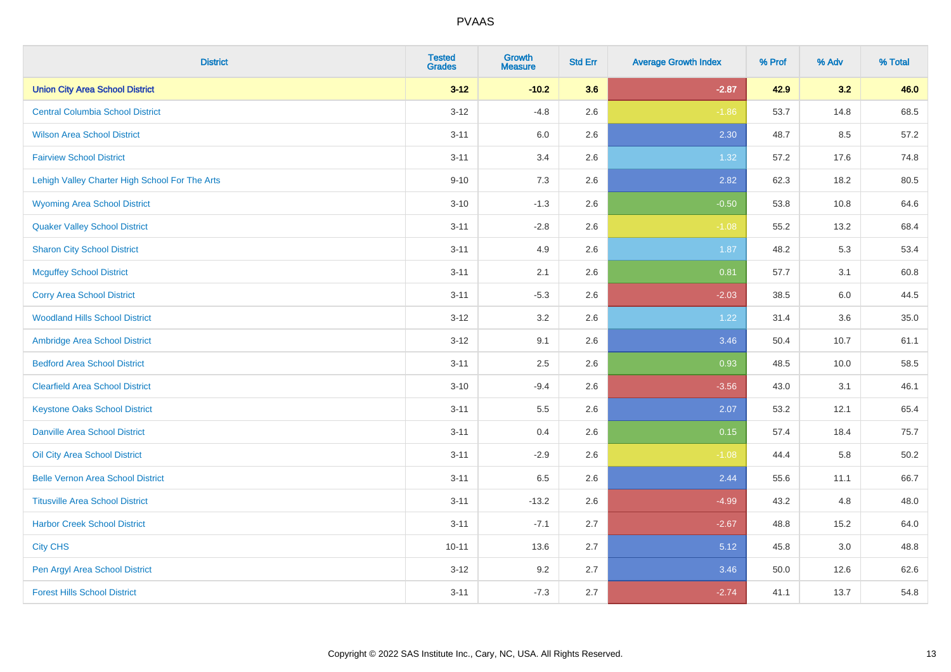| <b>District</b>                                | <b>Tested</b><br><b>Grades</b> | Growth<br><b>Measure</b> | <b>Std Err</b> | <b>Average Growth Index</b> | % Prof | % Adv | % Total |
|------------------------------------------------|--------------------------------|--------------------------|----------------|-----------------------------|--------|-------|---------|
| <b>Union City Area School District</b>         | $3 - 12$                       | $-10.2$                  | 3.6            | $-2.87$                     | 42.9   | 3.2   | 46.0    |
| <b>Central Columbia School District</b>        | $3 - 12$                       | $-4.8$                   | 2.6            | $-1.86$                     | 53.7   | 14.8  | 68.5    |
| <b>Wilson Area School District</b>             | $3 - 11$                       | 6.0                      | 2.6            | 2.30                        | 48.7   | 8.5   | 57.2    |
| <b>Fairview School District</b>                | $3 - 11$                       | 3.4                      | 2.6            | 1.32                        | 57.2   | 17.6  | 74.8    |
| Lehigh Valley Charter High School For The Arts | $9 - 10$                       | 7.3                      | 2.6            | 2.82                        | 62.3   | 18.2  | 80.5    |
| <b>Wyoming Area School District</b>            | $3 - 10$                       | $-1.3$                   | 2.6            | $-0.50$                     | 53.8   | 10.8  | 64.6    |
| <b>Quaker Valley School District</b>           | $3 - 11$                       | $-2.8$                   | 2.6            | $-1.08$                     | 55.2   | 13.2  | 68.4    |
| <b>Sharon City School District</b>             | $3 - 11$                       | 4.9                      | 2.6            | 1.87                        | 48.2   | 5.3   | 53.4    |
| <b>Mcguffey School District</b>                | $3 - 11$                       | 2.1                      | 2.6            | 0.81                        | 57.7   | 3.1   | 60.8    |
| <b>Corry Area School District</b>              | $3 - 11$                       | $-5.3$                   | 2.6            | $-2.03$                     | 38.5   | 6.0   | 44.5    |
| <b>Woodland Hills School District</b>          | $3-12$                         | 3.2                      | 2.6            | 1.22                        | 31.4   | 3.6   | 35.0    |
| Ambridge Area School District                  | $3 - 12$                       | 9.1                      | 2.6            | 3.46                        | 50.4   | 10.7  | 61.1    |
| <b>Bedford Area School District</b>            | $3 - 11$                       | 2.5                      | 2.6            | 0.93                        | 48.5   | 10.0  | 58.5    |
| <b>Clearfield Area School District</b>         | $3 - 10$                       | $-9.4$                   | 2.6            | $-3.56$                     | 43.0   | 3.1   | 46.1    |
| <b>Keystone Oaks School District</b>           | $3 - 11$                       | $5.5\,$                  | 2.6            | 2.07                        | 53.2   | 12.1  | 65.4    |
| <b>Danville Area School District</b>           | $3 - 11$                       | 0.4                      | 2.6            | 0.15                        | 57.4   | 18.4  | 75.7    |
| Oil City Area School District                  | $3 - 11$                       | $-2.9$                   | 2.6            | $-1.08$                     | 44.4   | 5.8   | 50.2    |
| <b>Belle Vernon Area School District</b>       | $3 - 11$                       | 6.5                      | 2.6            | 2.44                        | 55.6   | 11.1  | 66.7    |
| <b>Titusville Area School District</b>         | $3 - 11$                       | $-13.2$                  | 2.6            | $-4.99$                     | 43.2   | 4.8   | 48.0    |
| <b>Harbor Creek School District</b>            | $3 - 11$                       | $-7.1$                   | 2.7            | $-2.67$                     | 48.8   | 15.2  | 64.0    |
| <b>City CHS</b>                                | $10 - 11$                      | 13.6                     | 2.7            | 5.12                        | 45.8   | 3.0   | 48.8    |
| Pen Argyl Area School District                 | $3-12$                         | 9.2                      | 2.7            | 3.46                        | 50.0   | 12.6  | 62.6    |
| <b>Forest Hills School District</b>            | $3 - 11$                       | $-7.3$                   | 2.7            | $-2.74$                     | 41.1   | 13.7  | 54.8    |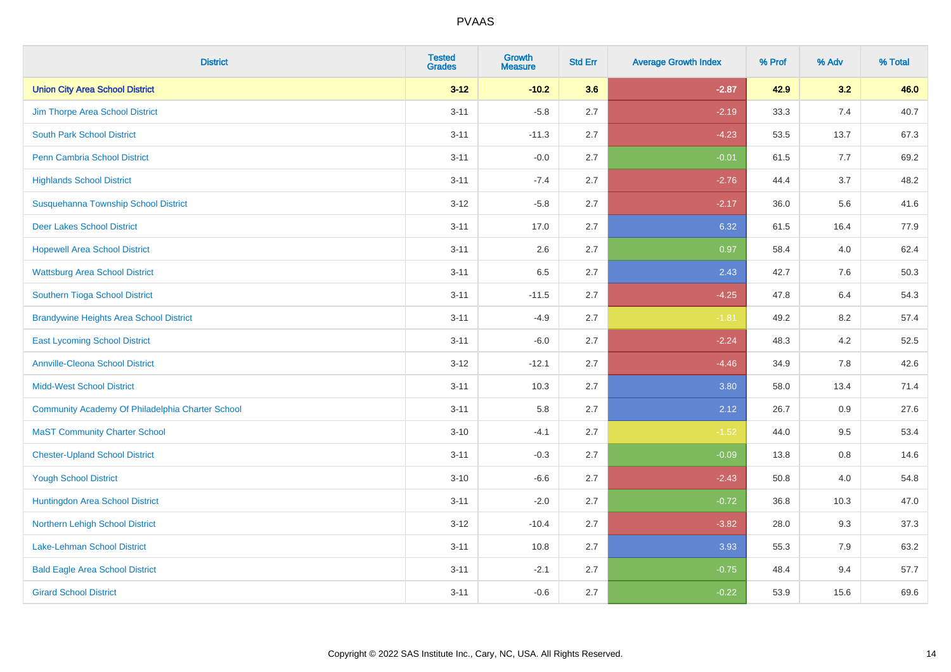| <b>District</b>                                  | <b>Tested</b><br><b>Grades</b> | <b>Growth</b><br><b>Measure</b> | <b>Std Err</b> | <b>Average Growth Index</b> | % Prof | % Adv   | % Total |
|--------------------------------------------------|--------------------------------|---------------------------------|----------------|-----------------------------|--------|---------|---------|
| <b>Union City Area School District</b>           | $3 - 12$                       | $-10.2$                         | 3.6            | $-2.87$                     | 42.9   | 3.2     | 46.0    |
| Jim Thorpe Area School District                  | $3 - 11$                       | $-5.8$                          | 2.7            | $-2.19$                     | 33.3   | 7.4     | 40.7    |
| <b>South Park School District</b>                | $3 - 11$                       | $-11.3$                         | 2.7            | $-4.23$                     | 53.5   | 13.7    | 67.3    |
| Penn Cambria School District                     | $3 - 11$                       | $-0.0$                          | 2.7            | $-0.01$                     | 61.5   | 7.7     | 69.2    |
| <b>Highlands School District</b>                 | $3 - 11$                       | $-7.4$                          | 2.7            | $-2.76$                     | 44.4   | 3.7     | 48.2    |
| Susquehanna Township School District             | $3 - 12$                       | $-5.8$                          | 2.7            | $-2.17$                     | 36.0   | 5.6     | 41.6    |
| <b>Deer Lakes School District</b>                | $3 - 11$                       | 17.0                            | 2.7            | 6.32                        | 61.5   | 16.4    | 77.9    |
| <b>Hopewell Area School District</b>             | $3 - 11$                       | 2.6                             | 2.7            | 0.97                        | 58.4   | 4.0     | 62.4    |
| <b>Wattsburg Area School District</b>            | $3 - 11$                       | 6.5                             | 2.7            | 2.43                        | 42.7   | 7.6     | 50.3    |
| Southern Tioga School District                   | $3 - 11$                       | $-11.5$                         | 2.7            | $-4.25$                     | 47.8   | 6.4     | 54.3    |
| <b>Brandywine Heights Area School District</b>   | $3 - 11$                       | $-4.9$                          | 2.7            | $-1.81$                     | 49.2   | 8.2     | 57.4    |
| <b>East Lycoming School District</b>             | $3 - 11$                       | $-6.0$                          | 2.7            | $-2.24$                     | 48.3   | 4.2     | 52.5    |
| <b>Annville-Cleona School District</b>           | $3 - 12$                       | $-12.1$                         | 2.7            | $-4.46$                     | 34.9   | $7.8\,$ | 42.6    |
| <b>Midd-West School District</b>                 | $3 - 11$                       | 10.3                            | 2.7            | 3.80                        | 58.0   | 13.4    | 71.4    |
| Community Academy Of Philadelphia Charter School | $3 - 11$                       | 5.8                             | 2.7            | 2.12                        | 26.7   | 0.9     | 27.6    |
| <b>MaST Community Charter School</b>             | $3 - 10$                       | $-4.1$                          | 2.7            | $-1.52$                     | 44.0   | 9.5     | 53.4    |
| <b>Chester-Upland School District</b>            | $3 - 11$                       | $-0.3$                          | 2.7            | $-0.09$                     | 13.8   | 0.8     | 14.6    |
| <b>Yough School District</b>                     | $3 - 10$                       | $-6.6$                          | 2.7            | $-2.43$                     | 50.8   | 4.0     | 54.8    |
| Huntingdon Area School District                  | $3 - 11$                       | $-2.0$                          | 2.7            | $-0.72$                     | 36.8   | 10.3    | 47.0    |
| Northern Lehigh School District                  | $3 - 12$                       | $-10.4$                         | 2.7            | $-3.82$                     | 28.0   | 9.3     | 37.3    |
| <b>Lake-Lehman School District</b>               | $3 - 11$                       | 10.8                            | 2.7            | 3.93                        | 55.3   | 7.9     | 63.2    |
| <b>Bald Eagle Area School District</b>           | $3 - 11$                       | $-2.1$                          | 2.7            | $-0.75$                     | 48.4   | 9.4     | 57.7    |
| <b>Girard School District</b>                    | $3 - 11$                       | $-0.6$                          | 2.7            | $-0.22$                     | 53.9   | 15.6    | 69.6    |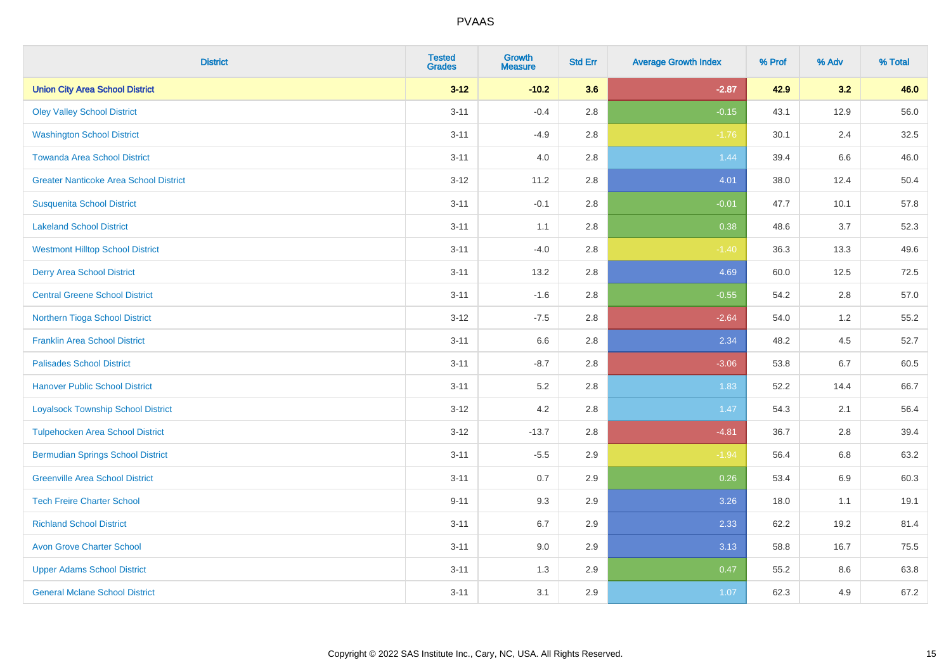| <b>District</b>                               | <b>Tested</b><br><b>Grades</b> | <b>Growth</b><br><b>Measure</b> | <b>Std Err</b> | <b>Average Growth Index</b> | % Prof | % Adv | % Total |
|-----------------------------------------------|--------------------------------|---------------------------------|----------------|-----------------------------|--------|-------|---------|
| <b>Union City Area School District</b>        | $3 - 12$                       | $-10.2$                         | 3.6            | $-2.87$                     | 42.9   | 3.2   | 46.0    |
| <b>Oley Valley School District</b>            | $3 - 11$                       | $-0.4$                          | $2.8\,$        | $-0.15$                     | 43.1   | 12.9  | 56.0    |
| <b>Washington School District</b>             | $3 - 11$                       | $-4.9$                          | 2.8            | $-1.76$                     | 30.1   | 2.4   | 32.5    |
| <b>Towanda Area School District</b>           | $3 - 11$                       | 4.0                             | $2.8\,$        | 1.44                        | 39.4   | 6.6   | 46.0    |
| <b>Greater Nanticoke Area School District</b> | $3-12$                         | 11.2                            | 2.8            | 4.01                        | 38.0   | 12.4  | 50.4    |
| <b>Susquenita School District</b>             | $3 - 11$                       | $-0.1$                          | 2.8            | $-0.01$                     | 47.7   | 10.1  | 57.8    |
| <b>Lakeland School District</b>               | $3 - 11$                       | 1.1                             | 2.8            | 0.38                        | 48.6   | 3.7   | 52.3    |
| <b>Westmont Hilltop School District</b>       | $3 - 11$                       | $-4.0$                          | $2.8\,$        | $-1.40$                     | 36.3   | 13.3  | 49.6    |
| <b>Derry Area School District</b>             | $3 - 11$                       | 13.2                            | 2.8            | 4.69                        | 60.0   | 12.5  | 72.5    |
| <b>Central Greene School District</b>         | $3 - 11$                       | $-1.6$                          | 2.8            | $-0.55$                     | 54.2   | 2.8   | 57.0    |
| Northern Tioga School District                | $3 - 12$                       | $-7.5$                          | 2.8            | $-2.64$                     | 54.0   | $1.2$ | 55.2    |
| <b>Franklin Area School District</b>          | $3 - 11$                       | 6.6                             | 2.8            | 2.34                        | 48.2   | 4.5   | 52.7    |
| <b>Palisades School District</b>              | $3 - 11$                       | $-8.7$                          | $2.8\,$        | $-3.06$                     | 53.8   | 6.7   | 60.5    |
| <b>Hanover Public School District</b>         | $3 - 11$                       | 5.2                             | 2.8            | 1.83                        | 52.2   | 14.4  | 66.7    |
| <b>Loyalsock Township School District</b>     | $3 - 12$                       | 4.2                             | 2.8            | 1.47                        | 54.3   | 2.1   | 56.4    |
| <b>Tulpehocken Area School District</b>       | $3 - 12$                       | $-13.7$                         | $2.8\,$        | $-4.81$                     | 36.7   | 2.8   | 39.4    |
| <b>Bermudian Springs School District</b>      | $3 - 11$                       | $-5.5$                          | 2.9            | $-1.94$                     | 56.4   | 6.8   | 63.2    |
| <b>Greenville Area School District</b>        | $3 - 11$                       | 0.7                             | 2.9            | 0.26                        | 53.4   | 6.9   | 60.3    |
| <b>Tech Freire Charter School</b>             | $9 - 11$                       | 9.3                             | 2.9            | 3.26                        | 18.0   | 1.1   | 19.1    |
| <b>Richland School District</b>               | $3 - 11$                       | 6.7                             | 2.9            | 2.33                        | 62.2   | 19.2  | 81.4    |
| <b>Avon Grove Charter School</b>              | $3 - 11$                       | 9.0                             | 2.9            | 3.13                        | 58.8   | 16.7  | 75.5    |
| <b>Upper Adams School District</b>            | $3 - 11$                       | 1.3                             | 2.9            | 0.47                        | 55.2   | 8.6   | 63.8    |
| <b>General Mclane School District</b>         | $3 - 11$                       | 3.1                             | 2.9            | 1.07                        | 62.3   | 4.9   | 67.2    |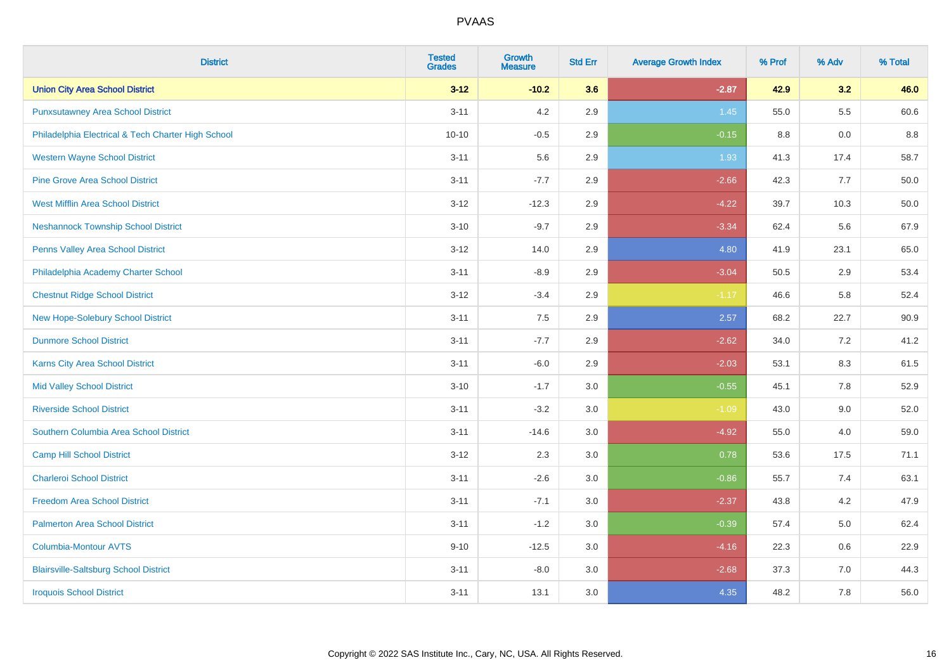| <b>District</b>                                    | <b>Tested</b><br><b>Grades</b> | Growth<br><b>Measure</b> | <b>Std Err</b> | <b>Average Growth Index</b> | % Prof | % Adv   | % Total |
|----------------------------------------------------|--------------------------------|--------------------------|----------------|-----------------------------|--------|---------|---------|
| <b>Union City Area School District</b>             | $3 - 12$                       | $-10.2$                  | 3.6            | $-2.87$                     | 42.9   | 3.2     | 46.0    |
| <b>Punxsutawney Area School District</b>           | $3 - 11$                       | 4.2                      | 2.9            | 1.45                        | 55.0   | $5.5\,$ | 60.6    |
| Philadelphia Electrical & Tech Charter High School | $10 - 10$                      | $-0.5$                   | 2.9            | $-0.15$                     | 8.8    | 0.0     | 8.8     |
| <b>Western Wayne School District</b>               | $3 - 11$                       | 5.6                      | 2.9            | 1.93                        | 41.3   | 17.4    | 58.7    |
| <b>Pine Grove Area School District</b>             | $3 - 11$                       | $-7.7$                   | 2.9            | $-2.66$                     | 42.3   | 7.7     | 50.0    |
| <b>West Mifflin Area School District</b>           | $3 - 12$                       | $-12.3$                  | 2.9            | $-4.22$                     | 39.7   | 10.3    | 50.0    |
| <b>Neshannock Township School District</b>         | $3 - 10$                       | $-9.7$                   | 2.9            | $-3.34$                     | 62.4   | 5.6     | 67.9    |
| <b>Penns Valley Area School District</b>           | $3 - 12$                       | 14.0                     | 2.9            | 4.80                        | 41.9   | 23.1    | 65.0    |
| Philadelphia Academy Charter School                | $3 - 11$                       | $-8.9$                   | 2.9            | $-3.04$                     | 50.5   | 2.9     | 53.4    |
| <b>Chestnut Ridge School District</b>              | $3 - 12$                       | $-3.4$                   | 2.9            | $-1.17$                     | 46.6   | 5.8     | 52.4    |
| New Hope-Solebury School District                  | $3 - 11$                       | 7.5                      | 2.9            | 2.57                        | 68.2   | 22.7    | 90.9    |
| <b>Dunmore School District</b>                     | $3 - 11$                       | $-7.7$                   | 2.9            | $-2.62$                     | 34.0   | 7.2     | 41.2    |
| Karns City Area School District                    | $3 - 11$                       | $-6.0$                   | 2.9            | $-2.03$                     | 53.1   | 8.3     | 61.5    |
| <b>Mid Valley School District</b>                  | $3 - 10$                       | $-1.7$                   | 3.0            | $-0.55$                     | 45.1   | $7.8\,$ | 52.9    |
| <b>Riverside School District</b>                   | $3 - 11$                       | $-3.2$                   | 3.0            | $-1.09$                     | 43.0   | 9.0     | 52.0    |
| Southern Columbia Area School District             | $3 - 11$                       | $-14.6$                  | 3.0            | $-4.92$                     | 55.0   | 4.0     | 59.0    |
| <b>Camp Hill School District</b>                   | $3 - 12$                       | 2.3                      | 3.0            | 0.78                        | 53.6   | 17.5    | 71.1    |
| <b>Charleroi School District</b>                   | $3 - 11$                       | $-2.6$                   | 3.0            | $-0.86$                     | 55.7   | 7.4     | 63.1    |
| <b>Freedom Area School District</b>                | $3 - 11$                       | $-7.1$                   | 3.0            | $-2.37$                     | 43.8   | 4.2     | 47.9    |
| <b>Palmerton Area School District</b>              | $3 - 11$                       | $-1.2$                   | 3.0            | $-0.39$                     | 57.4   | 5.0     | 62.4    |
| <b>Columbia-Montour AVTS</b>                       | $9 - 10$                       | $-12.5$                  | 3.0            | $-4.16$                     | 22.3   | 0.6     | 22.9    |
| <b>Blairsville-Saltsburg School District</b>       | $3 - 11$                       | $-8.0$                   | 3.0            | $-2.68$                     | 37.3   | 7.0     | 44.3    |
| <b>Iroquois School District</b>                    | $3 - 11$                       | 13.1                     | 3.0            | 4.35                        | 48.2   | 7.8     | 56.0    |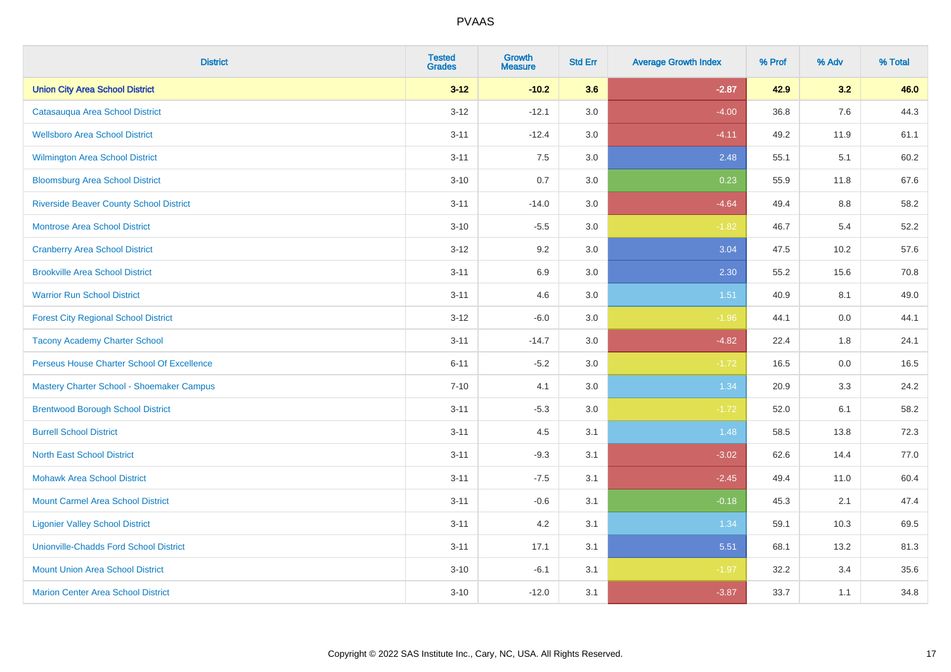| <b>District</b>                                | <b>Tested</b><br><b>Grades</b> | <b>Growth</b><br><b>Measure</b> | <b>Std Err</b> | <b>Average Growth Index</b> | % Prof | % Adv   | % Total |
|------------------------------------------------|--------------------------------|---------------------------------|----------------|-----------------------------|--------|---------|---------|
| <b>Union City Area School District</b>         | $3 - 12$                       | $-10.2$                         | 3.6            | $-2.87$                     | 42.9   | 3.2     | 46.0    |
| Catasauqua Area School District                | $3 - 12$                       | $-12.1$                         | 3.0            | $-4.00$                     | 36.8   | 7.6     | 44.3    |
| <b>Wellsboro Area School District</b>          | $3 - 11$                       | $-12.4$                         | 3.0            | $-4.11$                     | 49.2   | 11.9    | 61.1    |
| Wilmington Area School District                | $3 - 11$                       | 7.5                             | 3.0            | 2.48                        | 55.1   | 5.1     | 60.2    |
| <b>Bloomsburg Area School District</b>         | $3 - 10$                       | 0.7                             | 3.0            | 0.23                        | 55.9   | 11.8    | 67.6    |
| <b>Riverside Beaver County School District</b> | $3 - 11$                       | $-14.0$                         | 3.0            | $-4.64$                     | 49.4   | 8.8     | 58.2    |
| <b>Montrose Area School District</b>           | $3 - 10$                       | $-5.5$                          | 3.0            | $-1.82$                     | 46.7   | 5.4     | 52.2    |
| <b>Cranberry Area School District</b>          | $3 - 12$                       | 9.2                             | 3.0            | 3.04                        | 47.5   | 10.2    | 57.6    |
| <b>Brookville Area School District</b>         | $3 - 11$                       | 6.9                             | 3.0            | 2.30                        | 55.2   | 15.6    | 70.8    |
| <b>Warrior Run School District</b>             | $3 - 11$                       | 4.6                             | 3.0            | 1.51                        | 40.9   | 8.1     | 49.0    |
| <b>Forest City Regional School District</b>    | $3 - 12$                       | $-6.0$                          | 3.0            | $-1.96$                     | 44.1   | 0.0     | 44.1    |
| <b>Tacony Academy Charter School</b>           | $3 - 11$                       | $-14.7$                         | 3.0            | $-4.82$                     | 22.4   | 1.8     | 24.1    |
| Perseus House Charter School Of Excellence     | $6 - 11$                       | $-5.2$                          | 3.0            | $-1.72$                     | 16.5   | $0.0\,$ | 16.5    |
| Mastery Charter School - Shoemaker Campus      | $7 - 10$                       | 4.1                             | 3.0            | 1.34                        | 20.9   | 3.3     | 24.2    |
| <b>Brentwood Borough School District</b>       | $3 - 11$                       | $-5.3$                          | 3.0            | $-1.72$                     | 52.0   | 6.1     | 58.2    |
| <b>Burrell School District</b>                 | $3 - 11$                       | 4.5                             | 3.1            | 1.48                        | 58.5   | 13.8    | 72.3    |
| <b>North East School District</b>              | $3 - 11$                       | $-9.3$                          | 3.1            | $-3.02$                     | 62.6   | 14.4    | 77.0    |
| <b>Mohawk Area School District</b>             | $3 - 11$                       | $-7.5$                          | 3.1            | $-2.45$                     | 49.4   | 11.0    | 60.4    |
| <b>Mount Carmel Area School District</b>       | $3 - 11$                       | $-0.6$                          | 3.1            | $-0.18$                     | 45.3   | 2.1     | 47.4    |
| <b>Ligonier Valley School District</b>         | $3 - 11$                       | 4.2                             | 3.1            | 1.34                        | 59.1   | 10.3    | 69.5    |
| <b>Unionville-Chadds Ford School District</b>  | $3 - 11$                       | 17.1                            | 3.1            | 5.51                        | 68.1   | 13.2    | 81.3    |
| <b>Mount Union Area School District</b>        | $3 - 10$                       | $-6.1$                          | 3.1            | $-1.97$                     | 32.2   | 3.4     | 35.6    |
| <b>Marion Center Area School District</b>      | $3 - 10$                       | $-12.0$                         | 3.1            | $-3.87$                     | 33.7   | 1.1     | 34.8    |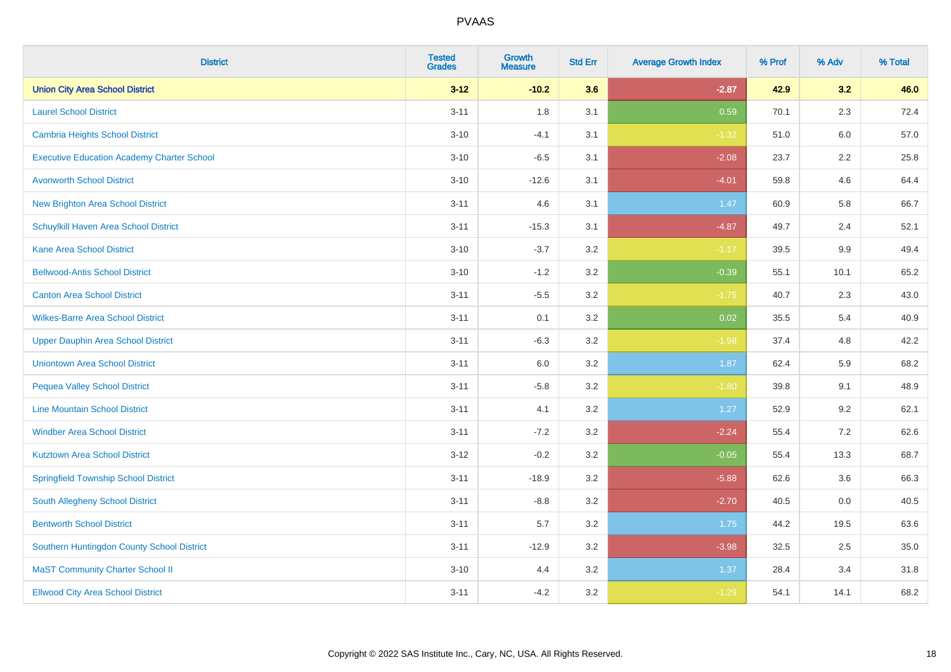| <b>District</b>                                   | <b>Tested</b><br><b>Grades</b> | <b>Growth</b><br><b>Measure</b> | <b>Std Err</b> | <b>Average Growth Index</b> | % Prof | % Adv   | % Total |
|---------------------------------------------------|--------------------------------|---------------------------------|----------------|-----------------------------|--------|---------|---------|
| <b>Union City Area School District</b>            | $3 - 12$                       | $-10.2$                         | 3.6            | $-2.87$                     | 42.9   | 3.2     | 46.0    |
| <b>Laurel School District</b>                     | $3 - 11$                       | 1.8                             | 3.1            | 0.59                        | 70.1   | 2.3     | 72.4    |
| Cambria Heights School District                   | $3 - 10$                       | $-4.1$                          | 3.1            | $-1.32$                     | 51.0   | 6.0     | 57.0    |
| <b>Executive Education Academy Charter School</b> | $3 - 10$                       | $-6.5$                          | 3.1            | $-2.08$                     | 23.7   | $2.2\,$ | 25.8    |
| <b>Avonworth School District</b>                  | $3 - 10$                       | $-12.6$                         | 3.1            | $-4.01$                     | 59.8   | 4.6     | 64.4    |
| <b>New Brighton Area School District</b>          | $3 - 11$                       | 4.6                             | 3.1            | 1.47                        | 60.9   | 5.8     | 66.7    |
| Schuylkill Haven Area School District             | $3 - 11$                       | $-15.3$                         | 3.1            | $-4.87$                     | 49.7   | 2.4     | 52.1    |
| <b>Kane Area School District</b>                  | $3 - 10$                       | $-3.7$                          | 3.2            | $-1.17$                     | 39.5   | 9.9     | 49.4    |
| <b>Bellwood-Antis School District</b>             | $3 - 10$                       | $-1.2$                          | 3.2            | $-0.39$                     | 55.1   | 10.1    | 65.2    |
| <b>Canton Area School District</b>                | $3 - 11$                       | $-5.5$                          | 3.2            | $-1.75$                     | 40.7   | 2.3     | 43.0    |
| <b>Wilkes-Barre Area School District</b>          | $3 - 11$                       | 0.1                             | 3.2            | 0.02                        | 35.5   | 5.4     | 40.9    |
| <b>Upper Dauphin Area School District</b>         | $3 - 11$                       | $-6.3$                          | 3.2            | $-1.98$                     | 37.4   | 4.8     | 42.2    |
| <b>Uniontown Area School District</b>             | $3 - 11$                       | 6.0                             | 3.2            | 1.87                        | 62.4   | 5.9     | 68.2    |
| <b>Pequea Valley School District</b>              | $3 - 11$                       | $-5.8$                          | 3.2            | $-1.80$                     | 39.8   | 9.1     | 48.9    |
| <b>Line Mountain School District</b>              | $3 - 11$                       | 4.1                             | 3.2            | 1.27                        | 52.9   | 9.2     | 62.1    |
| <b>Windber Area School District</b>               | $3 - 11$                       | $-7.2$                          | 3.2            | $-2.24$                     | 55.4   | $7.2\,$ | 62.6    |
| <b>Kutztown Area School District</b>              | $3 - 12$                       | $-0.2$                          | 3.2            | $-0.05$                     | 55.4   | 13.3    | 68.7    |
| <b>Springfield Township School District</b>       | $3 - 11$                       | $-18.9$                         | 3.2            | $-5.88$                     | 62.6   | 3.6     | 66.3    |
| <b>South Allegheny School District</b>            | $3 - 11$                       | $-8.8$                          | 3.2            | $-2.70$                     | 40.5   | 0.0     | 40.5    |
| <b>Bentworth School District</b>                  | $3 - 11$                       | 5.7                             | 3.2            | 1.75                        | 44.2   | 19.5    | 63.6    |
| Southern Huntingdon County School District        | $3 - 11$                       | $-12.9$                         | 3.2            | $-3.98$                     | 32.5   | 2.5     | 35.0    |
| <b>MaST Community Charter School II</b>           | $3 - 10$                       | 4.4                             | 3.2            | 1.37                        | 28.4   | 3.4     | 31.8    |
| <b>Ellwood City Area School District</b>          | $3 - 11$                       | $-4.2$                          | 3.2            | $-1.29$                     | 54.1   | 14.1    | 68.2    |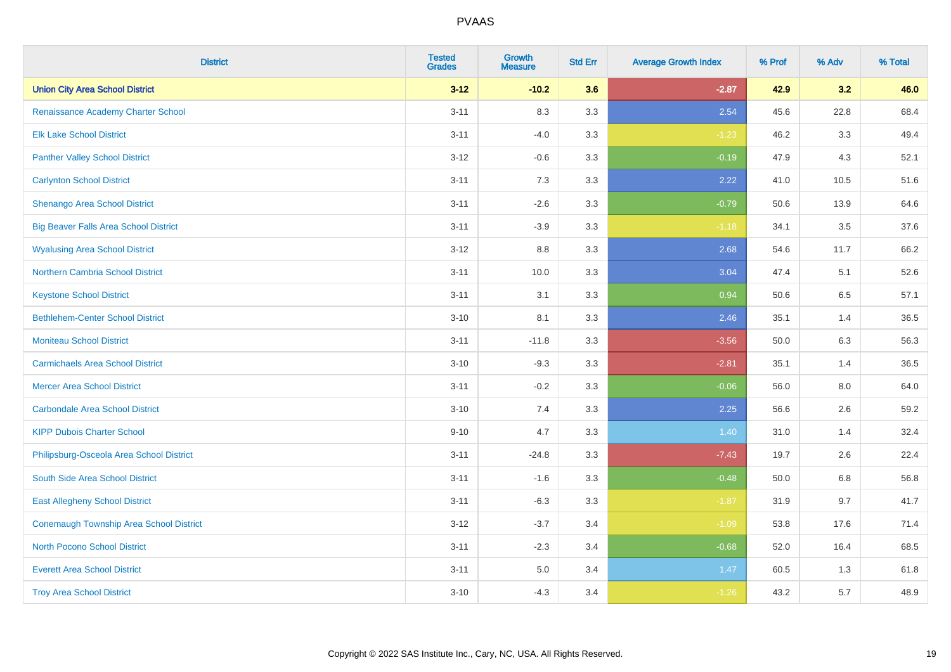| <b>District</b>                              | <b>Tested</b><br><b>Grades</b> | <b>Growth</b><br><b>Measure</b> | <b>Std Err</b> | <b>Average Growth Index</b> | % Prof | % Adv   | % Total |
|----------------------------------------------|--------------------------------|---------------------------------|----------------|-----------------------------|--------|---------|---------|
| <b>Union City Area School District</b>       | $3 - 12$                       | $-10.2$                         | 3.6            | $-2.87$                     | 42.9   | 3.2     | 46.0    |
| Renaissance Academy Charter School           | $3 - 11$                       | 8.3                             | 3.3            | 2.54                        | 45.6   | 22.8    | 68.4    |
| <b>Elk Lake School District</b>              | $3 - 11$                       | $-4.0$                          | 3.3            | $-1.23$                     | 46.2   | 3.3     | 49.4    |
| <b>Panther Valley School District</b>        | $3 - 12$                       | $-0.6$                          | 3.3            | $-0.19$                     | 47.9   | 4.3     | 52.1    |
| <b>Carlynton School District</b>             | $3 - 11$                       | 7.3                             | 3.3            | 2.22                        | 41.0   | 10.5    | 51.6    |
| Shenango Area School District                | $3 - 11$                       | $-2.6$                          | 3.3            | $-0.79$                     | 50.6   | 13.9    | 64.6    |
| <b>Big Beaver Falls Area School District</b> | $3 - 11$                       | $-3.9$                          | 3.3            | $-1.18$                     | 34.1   | 3.5     | 37.6    |
| <b>Wyalusing Area School District</b>        | $3 - 12$                       | $8.8\,$                         | 3.3            | 2.68                        | 54.6   | 11.7    | 66.2    |
| <b>Northern Cambria School District</b>      | $3 - 11$                       | 10.0                            | 3.3            | 3.04                        | 47.4   | 5.1     | 52.6    |
| <b>Keystone School District</b>              | $3 - 11$                       | 3.1                             | 3.3            | 0.94                        | 50.6   | 6.5     | 57.1    |
| <b>Bethlehem-Center School District</b>      | $3 - 10$                       | 8.1                             | 3.3            | 2.46                        | 35.1   | 1.4     | 36.5    |
| <b>Moniteau School District</b>              | $3 - 11$                       | $-11.8$                         | 3.3            | $-3.56$                     | 50.0   | 6.3     | 56.3    |
| <b>Carmichaels Area School District</b>      | $3 - 10$                       | $-9.3$                          | 3.3            | $-2.81$                     | 35.1   | 1.4     | 36.5    |
| <b>Mercer Area School District</b>           | $3 - 11$                       | $-0.2$                          | 3.3            | $-0.06$                     | 56.0   | $8.0\,$ | 64.0    |
| <b>Carbondale Area School District</b>       | $3 - 10$                       | 7.4                             | 3.3            | 2.25                        | 56.6   | 2.6     | 59.2    |
| <b>KIPP Dubois Charter School</b>            | $9 - 10$                       | 4.7                             | 3.3            | 1.40                        | 31.0   | 1.4     | 32.4    |
| Philipsburg-Osceola Area School District     | $3 - 11$                       | $-24.8$                         | 3.3            | $-7.43$                     | 19.7   | 2.6     | 22.4    |
| South Side Area School District              | $3 - 11$                       | $-1.6$                          | 3.3            | $-0.48$                     | 50.0   | 6.8     | 56.8    |
| <b>East Allegheny School District</b>        | $3 - 11$                       | $-6.3$                          | 3.3            | $-1.87$                     | 31.9   | 9.7     | 41.7    |
| Conemaugh Township Area School District      | $3 - 12$                       | $-3.7$                          | 3.4            | $-1.09$                     | 53.8   | 17.6    | 71.4    |
| <b>North Pocono School District</b>          | $3 - 11$                       | $-2.3$                          | 3.4            | $-0.68$                     | 52.0   | 16.4    | 68.5    |
| <b>Everett Area School District</b>          | $3 - 11$                       | 5.0                             | 3.4            | 1.47                        | 60.5   | 1.3     | 61.8    |
| <b>Troy Area School District</b>             | $3 - 10$                       | $-4.3$                          | 3.4            | $-1.26$                     | 43.2   | 5.7     | 48.9    |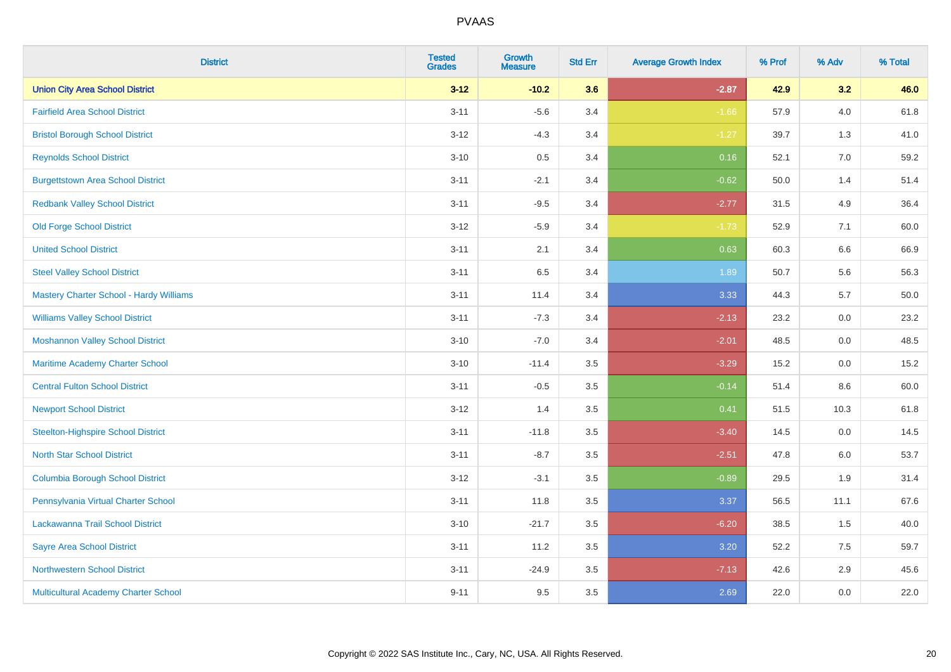| <b>District</b>                                | <b>Tested</b><br><b>Grades</b> | <b>Growth</b><br><b>Measure</b> | <b>Std Err</b> | <b>Average Growth Index</b> | % Prof | % Adv   | % Total |
|------------------------------------------------|--------------------------------|---------------------------------|----------------|-----------------------------|--------|---------|---------|
| <b>Union City Area School District</b>         | $3 - 12$                       | $-10.2$                         | 3.6            | $-2.87$                     | 42.9   | 3.2     | 46.0    |
| <b>Fairfield Area School District</b>          | $3 - 11$                       | $-5.6$                          | 3.4            | $-1.66$                     | 57.9   | $4.0\,$ | 61.8    |
| <b>Bristol Borough School District</b>         | $3 - 12$                       | $-4.3$                          | 3.4            | $-1.27$                     | 39.7   | 1.3     | 41.0    |
| <b>Reynolds School District</b>                | $3 - 10$                       | 0.5                             | 3.4            | 0.16                        | 52.1   | 7.0     | 59.2    |
| <b>Burgettstown Area School District</b>       | $3 - 11$                       | $-2.1$                          | 3.4            | $-0.62$                     | 50.0   | 1.4     | 51.4    |
| <b>Redbank Valley School District</b>          | $3 - 11$                       | $-9.5$                          | 3.4            | $-2.77$                     | 31.5   | 4.9     | 36.4    |
| Old Forge School District                      | $3 - 12$                       | $-5.9$                          | 3.4            | $-1.73$                     | 52.9   | 7.1     | 60.0    |
| <b>United School District</b>                  | $3 - 11$                       | 2.1                             | 3.4            | 0.63                        | 60.3   | 6.6     | 66.9    |
| <b>Steel Valley School District</b>            | $3 - 11$                       | 6.5                             | 3.4            | 1.89                        | 50.7   | 5.6     | 56.3    |
| <b>Mastery Charter School - Hardy Williams</b> | $3 - 11$                       | 11.4                            | 3.4            | 3.33                        | 44.3   | 5.7     | 50.0    |
| <b>Williams Valley School District</b>         | $3 - 11$                       | $-7.3$                          | 3.4            | $-2.13$                     | 23.2   | 0.0     | 23.2    |
| <b>Moshannon Valley School District</b>        | $3 - 10$                       | $-7.0$                          | 3.4            | $-2.01$                     | 48.5   | 0.0     | 48.5    |
| Maritime Academy Charter School                | $3 - 10$                       | $-11.4$                         | 3.5            | $-3.29$                     | 15.2   | 0.0     | 15.2    |
| <b>Central Fulton School District</b>          | $3 - 11$                       | $-0.5$                          | 3.5            | $-0.14$                     | 51.4   | 8.6     | 60.0    |
| <b>Newport School District</b>                 | $3 - 12$                       | 1.4                             | 3.5            | 0.41                        | 51.5   | 10.3    | 61.8    |
| <b>Steelton-Highspire School District</b>      | $3 - 11$                       | $-11.8$                         | 3.5            | $-3.40$                     | 14.5   | $0.0\,$ | 14.5    |
| <b>North Star School District</b>              | $3 - 11$                       | $-8.7$                          | 3.5            | $-2.51$                     | 47.8   | 6.0     | 53.7    |
| <b>Columbia Borough School District</b>        | $3 - 12$                       | $-3.1$                          | 3.5            | $-0.89$                     | 29.5   | 1.9     | 31.4    |
| Pennsylvania Virtual Charter School            | $3 - 11$                       | 11.8                            | 3.5            | 3.37                        | 56.5   | 11.1    | 67.6    |
| Lackawanna Trail School District               | $3 - 10$                       | $-21.7$                         | 3.5            | $-6.20$                     | 38.5   | 1.5     | 40.0    |
| <b>Sayre Area School District</b>              | $3 - 11$                       | 11.2                            | 3.5            | 3.20                        | 52.2   | 7.5     | 59.7    |
| <b>Northwestern School District</b>            | $3 - 11$                       | $-24.9$                         | 3.5            | $-7.13$                     | 42.6   | 2.9     | 45.6    |
| Multicultural Academy Charter School           | $9 - 11$                       | 9.5                             | 3.5            | 2.69                        | 22.0   | 0.0     | 22.0    |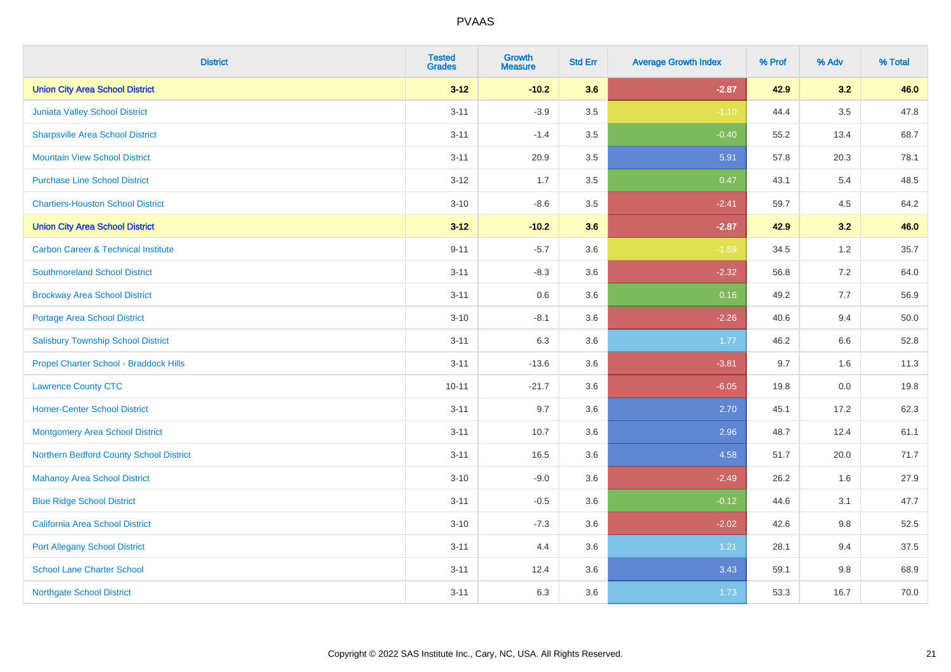| <b>District</b>                                | <b>Tested</b><br><b>Grades</b> | <b>Growth</b><br><b>Measure</b> | <b>Std Err</b> | <b>Average Growth Index</b> | % Prof | % Adv   | % Total |
|------------------------------------------------|--------------------------------|---------------------------------|----------------|-----------------------------|--------|---------|---------|
| <b>Union City Area School District</b>         | $3 - 12$                       | $-10.2$                         | 3.6            | $-2.87$                     | 42.9   | 3.2     | 46.0    |
| Juniata Valley School District                 | $3 - 11$                       | $-3.9$                          | 3.5            | $-1.10$                     | 44.4   | $3.5\,$ | 47.8    |
| <b>Sharpsville Area School District</b>        | $3 - 11$                       | $-1.4$                          | 3.5            | $-0.40$                     | 55.2   | 13.4    | 68.7    |
| <b>Mountain View School District</b>           | $3 - 11$                       | 20.9                            | $3.5\,$        | 5.91                        | 57.8   | 20.3    | 78.1    |
| <b>Purchase Line School District</b>           | $3 - 12$                       | 1.7                             | 3.5            | 0.47                        | 43.1   | 5.4     | 48.5    |
| <b>Chartiers-Houston School District</b>       | $3 - 10$                       | $-8.6$                          | 3.5            | $-2.41$                     | 59.7   | 4.5     | 64.2    |
| <b>Union City Area School District</b>         | $3 - 12$                       | $-10.2$                         | 3.6            | $-2.87$                     | 42.9   | 3.2     | 46.0    |
| <b>Carbon Career &amp; Technical Institute</b> | $9 - 11$                       | $-5.7$                          | 3.6            | $-1.59$                     | 34.5   | $1.2$   | 35.7    |
| <b>Southmoreland School District</b>           | $3 - 11$                       | $-8.3$                          | 3.6            | $-2.32$                     | 56.8   | 7.2     | 64.0    |
| <b>Brockway Area School District</b>           | $3 - 11$                       | 0.6                             | 3.6            | 0.16                        | 49.2   | 7.7     | 56.9    |
| <b>Portage Area School District</b>            | $3 - 10$                       | $-8.1$                          | 3.6            | $-2.26$                     | 40.6   | 9.4     | 50.0    |
| <b>Salisbury Township School District</b>      | $3 - 11$                       | 6.3                             | 3.6            | 1.77                        | 46.2   | 6.6     | 52.8    |
| Propel Charter School - Braddock Hills         | $3 - 11$                       | $-13.6$                         | 3.6            | $-3.81$                     | 9.7    | 1.6     | 11.3    |
| <b>Lawrence County CTC</b>                     | $10 - 11$                      | $-21.7$                         | 3.6            | $-6.05$                     | 19.8   | $0.0\,$ | 19.8    |
| <b>Homer-Center School District</b>            | $3 - 11$                       | 9.7                             | 3.6            | 2.70                        | 45.1   | 17.2    | 62.3    |
| Montgomery Area School District                | $3 - 11$                       | 10.7                            | 3.6            | 2.96                        | 48.7   | 12.4    | 61.1    |
| Northern Bedford County School District        | $3 - 11$                       | 16.5                            | 3.6            | 4.58                        | 51.7   | 20.0    | 71.7    |
| <b>Mahanoy Area School District</b>            | $3 - 10$                       | $-9.0$                          | 3.6            | $-2.49$                     | 26.2   | 1.6     | 27.9    |
| <b>Blue Ridge School District</b>              | $3 - 11$                       | $-0.5$                          | 3.6            | $-0.12$                     | 44.6   | 3.1     | 47.7    |
| California Area School District                | $3 - 10$                       | $-7.3$                          | 3.6            | $-2.02$                     | 42.6   | $9.8\,$ | 52.5    |
| <b>Port Allegany School District</b>           | $3 - 11$                       | 4.4                             | 3.6            | 1.21                        | 28.1   | 9.4     | 37.5    |
| <b>School Lane Charter School</b>              | $3 - 11$                       | 12.4                            | 3.6            | 3.43                        | 59.1   | $9.8\,$ | 68.9    |
| <b>Northgate School District</b>               | $3 - 11$                       | 6.3                             | 3.6            | 1.73                        | 53.3   | 16.7    | 70.0    |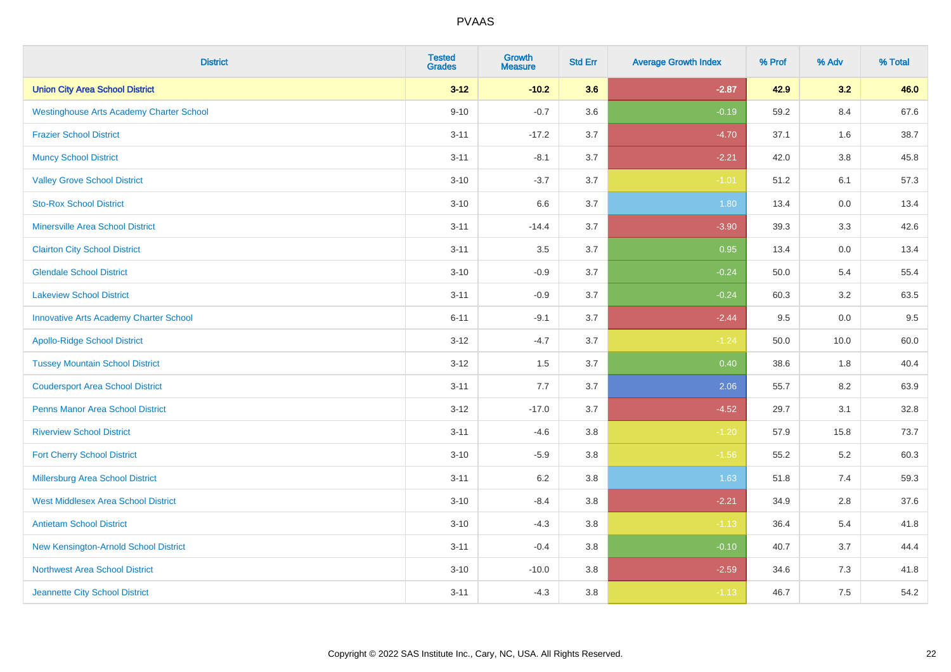| <b>District</b>                                 | <b>Tested</b><br><b>Grades</b> | <b>Growth</b><br><b>Measure</b> | <b>Std Err</b> | <b>Average Growth Index</b> | % Prof | % Adv   | % Total |
|-------------------------------------------------|--------------------------------|---------------------------------|----------------|-----------------------------|--------|---------|---------|
| <b>Union City Area School District</b>          | $3 - 12$                       | $-10.2$                         | 3.6            | $-2.87$                     | 42.9   | 3.2     | 46.0    |
| <b>Westinghouse Arts Academy Charter School</b> | $9 - 10$                       | $-0.7$                          | 3.6            | $-0.19$                     | 59.2   | $8.4\,$ | 67.6    |
| <b>Frazier School District</b>                  | $3 - 11$                       | $-17.2$                         | 3.7            | $-4.70$                     | 37.1   | 1.6     | 38.7    |
| <b>Muncy School District</b>                    | $3 - 11$                       | $-8.1$                          | 3.7            | $-2.21$                     | 42.0   | $3.8\,$ | 45.8    |
| <b>Valley Grove School District</b>             | $3 - 10$                       | $-3.7$                          | 3.7            | $-1.01$                     | 51.2   | 6.1     | 57.3    |
| <b>Sto-Rox School District</b>                  | $3 - 10$                       | 6.6                             | 3.7            | 1.80                        | 13.4   | 0.0     | 13.4    |
| <b>Minersville Area School District</b>         | $3 - 11$                       | $-14.4$                         | 3.7            | $-3.90$                     | 39.3   | 3.3     | 42.6    |
| <b>Clairton City School District</b>            | $3 - 11$                       | 3.5                             | 3.7            | 0.95                        | 13.4   | $0.0\,$ | 13.4    |
| <b>Glendale School District</b>                 | $3 - 10$                       | $-0.9$                          | 3.7            | $-0.24$                     | 50.0   | 5.4     | 55.4    |
| <b>Lakeview School District</b>                 | $3 - 11$                       | $-0.9$                          | 3.7            | $-0.24$                     | 60.3   | $3.2\,$ | 63.5    |
| <b>Innovative Arts Academy Charter School</b>   | $6 - 11$                       | $-9.1$                          | 3.7            | $-2.44$                     | 9.5    | 0.0     | 9.5     |
| <b>Apollo-Ridge School District</b>             | $3 - 12$                       | $-4.7$                          | 3.7            | $-1.24$                     | 50.0   | 10.0    | 60.0    |
| <b>Tussey Mountain School District</b>          | $3 - 12$                       | 1.5                             | 3.7            | 0.40                        | 38.6   | 1.8     | 40.4    |
| <b>Coudersport Area School District</b>         | $3 - 11$                       | $7.7\,$                         | 3.7            | 2.06                        | 55.7   | 8.2     | 63.9    |
| <b>Penns Manor Area School District</b>         | $3-12$                         | $-17.0$                         | 3.7            | $-4.52$                     | 29.7   | 3.1     | 32.8    |
| <b>Riverview School District</b>                | $3 - 11$                       | $-4.6$                          | 3.8            | $-1.20$                     | 57.9   | 15.8    | 73.7    |
| <b>Fort Cherry School District</b>              | $3 - 10$                       | $-5.9$                          | $3.8\,$        | $-1.56$                     | 55.2   | 5.2     | 60.3    |
| Millersburg Area School District                | $3 - 11$                       | 6.2                             | 3.8            | 1.63                        | 51.8   | 7.4     | 59.3    |
| <b>West Middlesex Area School District</b>      | $3 - 10$                       | $-8.4$                          | $3.8\,$        | $-2.21$                     | 34.9   | 2.8     | 37.6    |
| <b>Antietam School District</b>                 | $3 - 10$                       | $-4.3$                          | 3.8            | $-1.13$                     | 36.4   | 5.4     | 41.8    |
| New Kensington-Arnold School District           | $3 - 11$                       | $-0.4$                          | 3.8            | $-0.10$                     | 40.7   | 3.7     | 44.4    |
| <b>Northwest Area School District</b>           | $3 - 10$                       | $-10.0$                         | 3.8            | $-2.59$                     | 34.6   | 7.3     | 41.8    |
| Jeannette City School District                  | $3 - 11$                       | $-4.3$                          | 3.8            | $-1.13$                     | 46.7   | 7.5     | 54.2    |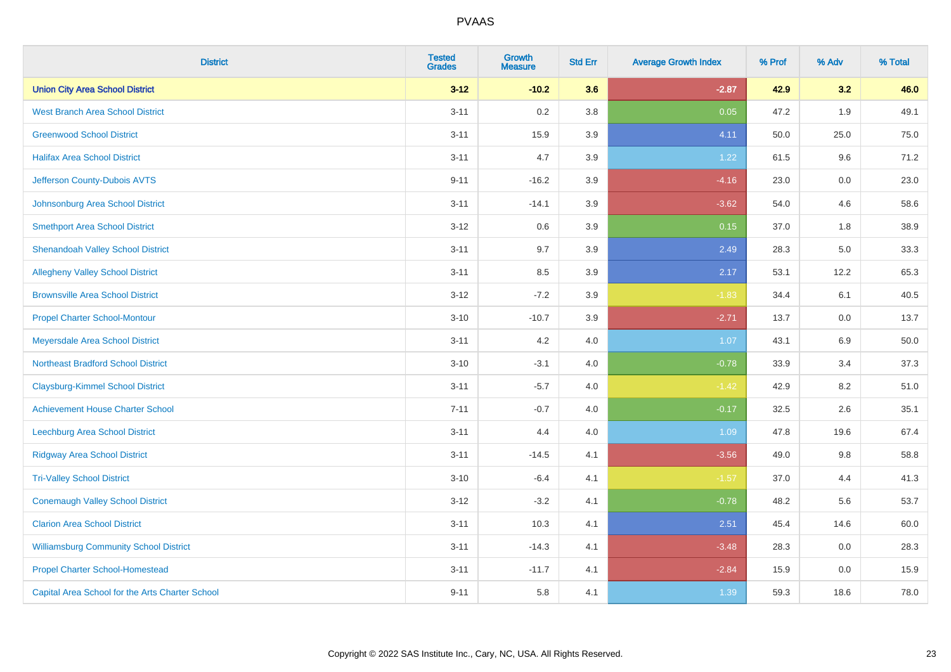| <b>District</b>                                 | <b>Tested</b><br><b>Grades</b> | <b>Growth</b><br><b>Measure</b> | <b>Std Err</b> | <b>Average Growth Index</b> | % Prof | % Adv | % Total |
|-------------------------------------------------|--------------------------------|---------------------------------|----------------|-----------------------------|--------|-------|---------|
| <b>Union City Area School District</b>          | $3 - 12$                       | $-10.2$                         | 3.6            | $-2.87$                     | 42.9   | 3.2   | 46.0    |
| <b>West Branch Area School District</b>         | $3 - 11$                       | 0.2                             | 3.8            | 0.05                        | 47.2   | 1.9   | 49.1    |
| <b>Greenwood School District</b>                | $3 - 11$                       | 15.9                            | 3.9            | 4.11                        | 50.0   | 25.0  | 75.0    |
| <b>Halifax Area School District</b>             | $3 - 11$                       | 4.7                             | 3.9            | 1.22                        | 61.5   | 9.6   | 71.2    |
| Jefferson County-Dubois AVTS                    | $9 - 11$                       | $-16.2$                         | 3.9            | $-4.16$                     | 23.0   | 0.0   | 23.0    |
| Johnsonburg Area School District                | $3 - 11$                       | $-14.1$                         | 3.9            | $-3.62$                     | 54.0   | 4.6   | 58.6    |
| <b>Smethport Area School District</b>           | $3 - 12$                       | 0.6                             | 3.9            | 0.15                        | 37.0   | 1.8   | 38.9    |
| <b>Shenandoah Valley School District</b>        | $3 - 11$                       | 9.7                             | 3.9            | 2.49                        | 28.3   | 5.0   | 33.3    |
| <b>Allegheny Valley School District</b>         | $3 - 11$                       | 8.5                             | 3.9            | 2.17                        | 53.1   | 12.2  | 65.3    |
| <b>Brownsville Area School District</b>         | $3 - 12$                       | $-7.2$                          | 3.9            | $-1.83$                     | 34.4   | 6.1   | 40.5    |
| <b>Propel Charter School-Montour</b>            | $3 - 10$                       | $-10.7$                         | 3.9            | $-2.71$                     | 13.7   | 0.0   | 13.7    |
| Meyersdale Area School District                 | $3 - 11$                       | 4.2                             | 4.0            | 1.07                        | 43.1   | 6.9   | 50.0    |
| <b>Northeast Bradford School District</b>       | $3 - 10$                       | $-3.1$                          | 4.0            | $-0.78$                     | 33.9   | 3.4   | 37.3    |
| <b>Claysburg-Kimmel School District</b>         | $3 - 11$                       | $-5.7$                          | 4.0            | $-1.42$                     | 42.9   | 8.2   | 51.0    |
| <b>Achievement House Charter School</b>         | $7 - 11$                       | $-0.7$                          | 4.0            | $-0.17$                     | 32.5   | 2.6   | 35.1    |
| Leechburg Area School District                  | $3 - 11$                       | 4.4                             | 4.0            | 1.09                        | 47.8   | 19.6  | 67.4    |
| <b>Ridgway Area School District</b>             | $3 - 11$                       | $-14.5$                         | 4.1            | $-3.56$                     | 49.0   | 9.8   | 58.8    |
| <b>Tri-Valley School District</b>               | $3 - 10$                       | $-6.4$                          | 4.1            | $-1.57$                     | 37.0   | 4.4   | 41.3    |
| <b>Conemaugh Valley School District</b>         | $3 - 12$                       | $-3.2$                          | 4.1            | $-0.78$                     | 48.2   | 5.6   | 53.7    |
| <b>Clarion Area School District</b>             | $3 - 11$                       | 10.3                            | 4.1            | 2.51                        | 45.4   | 14.6  | 60.0    |
| <b>Williamsburg Community School District</b>   | $3 - 11$                       | $-14.3$                         | 4.1            | $-3.48$                     | 28.3   | 0.0   | 28.3    |
| <b>Propel Charter School-Homestead</b>          | $3 - 11$                       | $-11.7$                         | 4.1            | $-2.84$                     | 15.9   | 0.0   | 15.9    |
| Capital Area School for the Arts Charter School | $9 - 11$                       | 5.8                             | 4.1            | 1.39                        | 59.3   | 18.6  | 78.0    |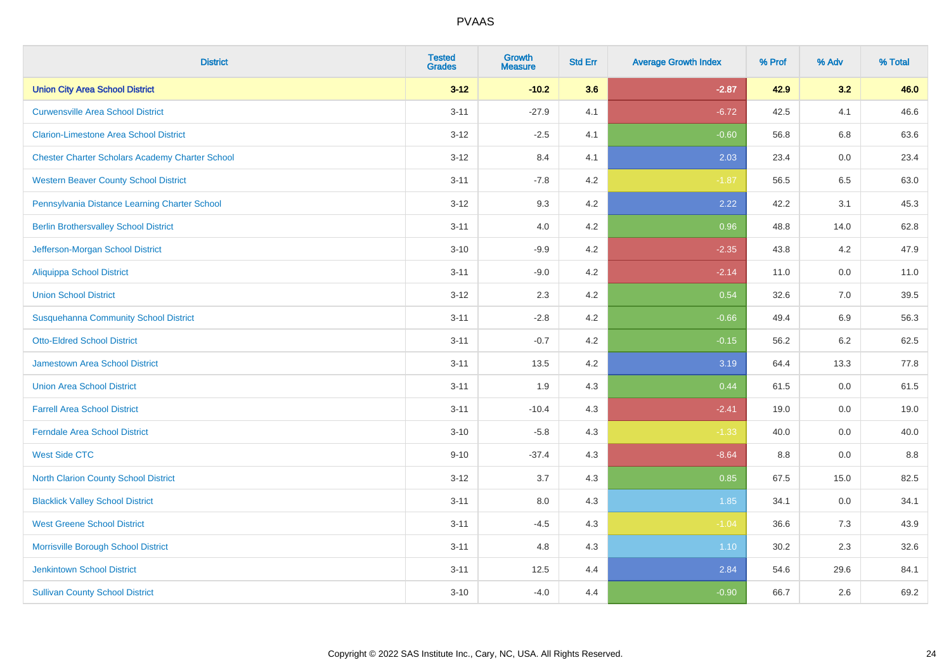| <b>District</b>                                        | <b>Tested</b><br><b>Grades</b> | <b>Growth</b><br><b>Measure</b> | <b>Std Err</b> | <b>Average Growth Index</b> | % Prof | % Adv   | % Total |
|--------------------------------------------------------|--------------------------------|---------------------------------|----------------|-----------------------------|--------|---------|---------|
| <b>Union City Area School District</b>                 | $3 - 12$                       | $-10.2$                         | 3.6            | $-2.87$                     | 42.9   | 3.2     | 46.0    |
| <b>Curwensville Area School District</b>               | $3 - 11$                       | $-27.9$                         | 4.1            | $-6.72$                     | 42.5   | 4.1     | 46.6    |
| <b>Clarion-Limestone Area School District</b>          | $3 - 12$                       | $-2.5$                          | 4.1            | $-0.60$                     | 56.8   | 6.8     | 63.6    |
| <b>Chester Charter Scholars Academy Charter School</b> | $3 - 12$                       | 8.4                             | 4.1            | 2.03                        | 23.4   | 0.0     | 23.4    |
| <b>Western Beaver County School District</b>           | $3 - 11$                       | $-7.8$                          | 4.2            | $-1.87$                     | 56.5   | 6.5     | 63.0    |
| Pennsylvania Distance Learning Charter School          | $3 - 12$                       | 9.3                             | 4.2            | 2.22                        | 42.2   | 3.1     | 45.3    |
| <b>Berlin Brothersvalley School District</b>           | $3 - 11$                       | 4.0                             | 4.2            | 0.96                        | 48.8   | 14.0    | 62.8    |
| Jefferson-Morgan School District                       | $3 - 10$                       | $-9.9$                          | 4.2            | $-2.35$                     | 43.8   | 4.2     | 47.9    |
| <b>Aliquippa School District</b>                       | $3 - 11$                       | $-9.0$                          | 4.2            | $-2.14$                     | 11.0   | 0.0     | 11.0    |
| <b>Union School District</b>                           | $3 - 12$                       | 2.3                             | 4.2            | 0.54                        | 32.6   | 7.0     | 39.5    |
| <b>Susquehanna Community School District</b>           | $3 - 11$                       | $-2.8$                          | 4.2            | $-0.66$                     | 49.4   | 6.9     | 56.3    |
| <b>Otto-Eldred School District</b>                     | $3 - 11$                       | $-0.7$                          | 4.2            | $-0.15$                     | 56.2   | $6.2\,$ | 62.5    |
| <b>Jamestown Area School District</b>                  | $3 - 11$                       | 13.5                            | 4.2            | 3.19                        | 64.4   | 13.3    | 77.8    |
| <b>Union Area School District</b>                      | $3 - 11$                       | 1.9                             | 4.3            | 0.44                        | 61.5   | 0.0     | 61.5    |
| <b>Farrell Area School District</b>                    | $3 - 11$                       | $-10.4$                         | 4.3            | $-2.41$                     | 19.0   | 0.0     | 19.0    |
| <b>Ferndale Area School District</b>                   | $3 - 10$                       | $-5.8$                          | 4.3            | $-1.33$                     | 40.0   | $0.0\,$ | 40.0    |
| <b>West Side CTC</b>                                   | $9 - 10$                       | $-37.4$                         | 4.3            | $-8.64$                     | 8.8    | 0.0     | $8.8\,$ |
| <b>North Clarion County School District</b>            | $3 - 12$                       | 3.7                             | 4.3            | 0.85                        | 67.5   | 15.0    | 82.5    |
| <b>Blacklick Valley School District</b>                | $3 - 11$                       | 8.0                             | 4.3            | 1.85                        | 34.1   | 0.0     | 34.1    |
| <b>West Greene School District</b>                     | $3 - 11$                       | $-4.5$                          | 4.3            | $-1.04$                     | 36.6   | 7.3     | 43.9    |
| Morrisville Borough School District                    | $3 - 11$                       | 4.8                             | 4.3            | 1.10                        | 30.2   | 2.3     | 32.6    |
| <b>Jenkintown School District</b>                      | $3 - 11$                       | 12.5                            | 4.4            | 2.84                        | 54.6   | 29.6    | 84.1    |
| <b>Sullivan County School District</b>                 | $3 - 10$                       | $-4.0$                          | 4.4            | $-0.90$                     | 66.7   | 2.6     | 69.2    |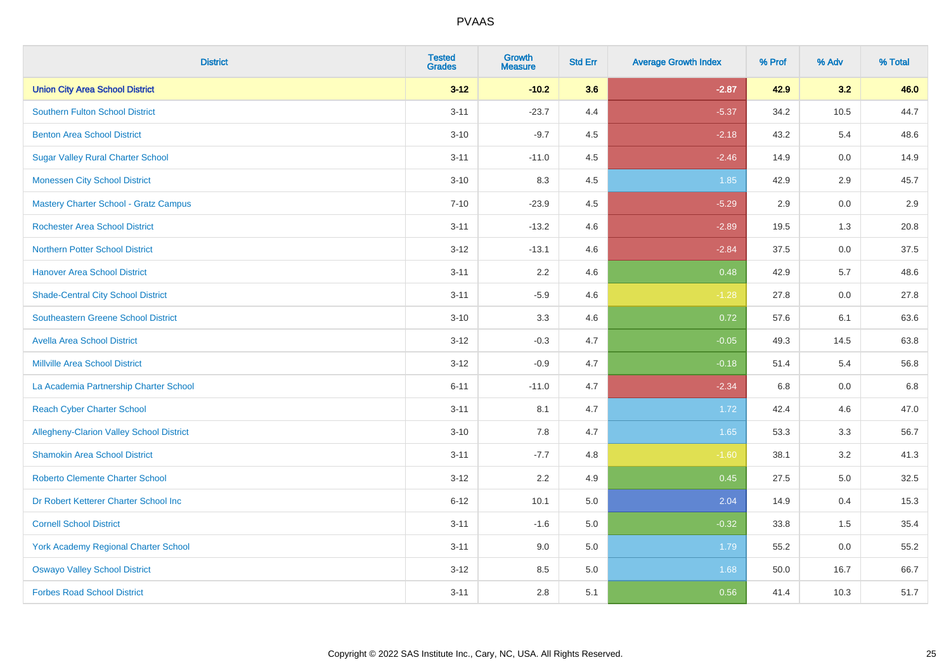| <b>District</b>                                 | <b>Tested</b><br><b>Grades</b> | <b>Growth</b><br><b>Measure</b> | <b>Std Err</b> | <b>Average Growth Index</b> | % Prof | % Adv   | % Total |
|-------------------------------------------------|--------------------------------|---------------------------------|----------------|-----------------------------|--------|---------|---------|
| <b>Union City Area School District</b>          | $3 - 12$                       | $-10.2$                         | 3.6            | $-2.87$                     | 42.9   | 3.2     | 46.0    |
| <b>Southern Fulton School District</b>          | $3 - 11$                       | $-23.7$                         | 4.4            | $-5.37$                     | 34.2   | 10.5    | 44.7    |
| <b>Benton Area School District</b>              | $3 - 10$                       | $-9.7$                          | 4.5            | $-2.18$                     | 43.2   | 5.4     | 48.6    |
| <b>Sugar Valley Rural Charter School</b>        | $3 - 11$                       | $-11.0$                         | 4.5            | $-2.46$                     | 14.9   | $0.0\,$ | 14.9    |
| <b>Monessen City School District</b>            | $3 - 10$                       | 8.3                             | 4.5            | 1.85                        | 42.9   | 2.9     | 45.7    |
| Mastery Charter School - Gratz Campus           | $7 - 10$                       | $-23.9$                         | 4.5            | $-5.29$                     | 2.9    | 0.0     | 2.9     |
| <b>Rochester Area School District</b>           | $3 - 11$                       | $-13.2$                         | 4.6            | $-2.89$                     | 19.5   | 1.3     | 20.8    |
| <b>Northern Potter School District</b>          | $3 - 12$                       | $-13.1$                         | 4.6            | $-2.84$                     | 37.5   | 0.0     | 37.5    |
| <b>Hanover Area School District</b>             | $3 - 11$                       | 2.2                             | 4.6            | 0.48                        | 42.9   | 5.7     | 48.6    |
| <b>Shade-Central City School District</b>       | $3 - 11$                       | $-5.9$                          | 4.6            | $-1.28$                     | 27.8   | 0.0     | 27.8    |
| <b>Southeastern Greene School District</b>      | $3 - 10$                       | 3.3                             | 4.6            | 0.72                        | 57.6   | 6.1     | 63.6    |
| <b>Avella Area School District</b>              | $3 - 12$                       | $-0.3$                          | 4.7            | $-0.05$                     | 49.3   | 14.5    | 63.8    |
| <b>Millville Area School District</b>           | $3 - 12$                       | $-0.9$                          | 4.7            | $-0.18$                     | 51.4   | 5.4     | 56.8    |
| La Academia Partnership Charter School          | $6 - 11$                       | $-11.0$                         | 4.7            | $-2.34$                     | 6.8    | $0.0\,$ | 6.8     |
| <b>Reach Cyber Charter School</b>               | $3 - 11$                       | 8.1                             | 4.7            | 1.72                        | 42.4   | 4.6     | 47.0    |
| <b>Allegheny-Clarion Valley School District</b> | $3 - 10$                       | 7.8                             | 4.7            | 1.65                        | 53.3   | 3.3     | 56.7    |
| <b>Shamokin Area School District</b>            | $3 - 11$                       | $-7.7$                          | 4.8            | $-1.60$                     | 38.1   | 3.2     | 41.3    |
| <b>Roberto Clemente Charter School</b>          | $3 - 12$                       | 2.2                             | 4.9            | 0.45                        | 27.5   | 5.0     | 32.5    |
| Dr Robert Ketterer Charter School Inc           | $6 - 12$                       | 10.1                            | 5.0            | 2.04                        | 14.9   | 0.4     | 15.3    |
| <b>Cornell School District</b>                  | $3 - 11$                       | $-1.6$                          | 5.0            | $-0.32$                     | 33.8   | 1.5     | 35.4    |
| <b>York Academy Regional Charter School</b>     | $3 - 11$                       | 9.0                             | 5.0            | 1.79                        | 55.2   | 0.0     | 55.2    |
| <b>Oswayo Valley School District</b>            | $3 - 12$                       | 8.5                             | $5.0\,$        | 1.68                        | 50.0   | 16.7    | 66.7    |
| <b>Forbes Road School District</b>              | $3 - 11$                       | 2.8                             | 5.1            | 0.56                        | 41.4   | 10.3    | 51.7    |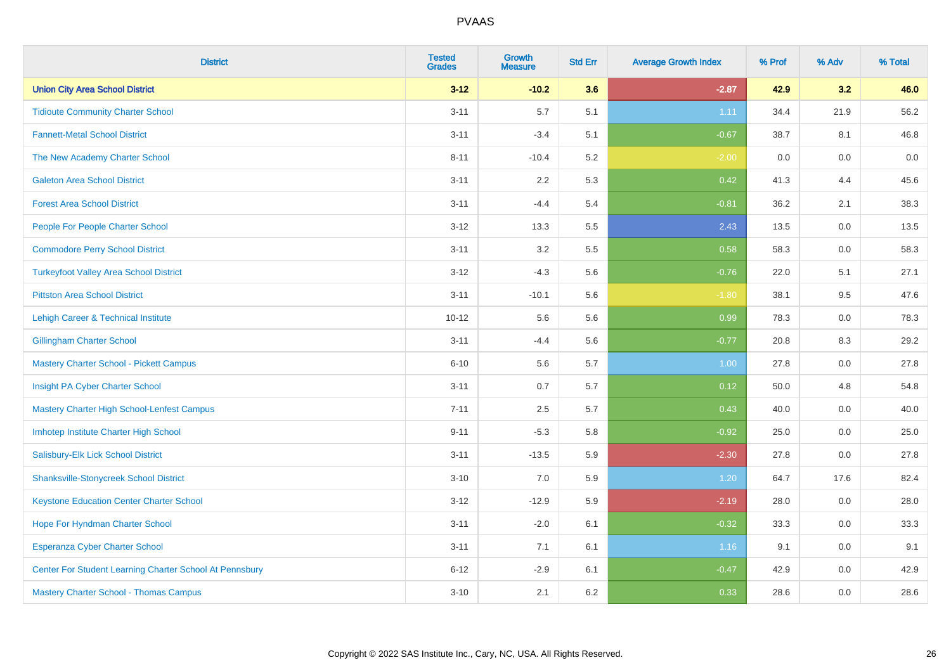| <b>District</b>                                         | <b>Tested</b><br><b>Grades</b> | <b>Growth</b><br><b>Measure</b> | <b>Std Err</b> | <b>Average Growth Index</b> | % Prof | % Adv   | % Total |
|---------------------------------------------------------|--------------------------------|---------------------------------|----------------|-----------------------------|--------|---------|---------|
| <b>Union City Area School District</b>                  | $3 - 12$                       | $-10.2$                         | 3.6            | $-2.87$                     | 42.9   | 3.2     | 46.0    |
| <b>Tidioute Community Charter School</b>                | $3 - 11$                       | 5.7                             | 5.1            | 1.11                        | 34.4   | 21.9    | 56.2    |
| <b>Fannett-Metal School District</b>                    | $3 - 11$                       | $-3.4$                          | 5.1            | $-0.67$                     | 38.7   | 8.1     | 46.8    |
| The New Academy Charter School                          | $8 - 11$                       | $-10.4$                         | 5.2            | $-2.00$                     | 0.0    | $0.0\,$ | $0.0\,$ |
| <b>Galeton Area School District</b>                     | $3 - 11$                       | 2.2                             | 5.3            | 0.42                        | 41.3   | 4.4     | 45.6    |
| <b>Forest Area School District</b>                      | $3 - 11$                       | $-4.4$                          | 5.4            | $-0.81$                     | 36.2   | 2.1     | 38.3    |
| People For People Charter School                        | $3 - 12$                       | 13.3                            | 5.5            | 2.43                        | 13.5   | 0.0     | 13.5    |
| <b>Commodore Perry School District</b>                  | $3 - 11$                       | 3.2                             | 5.5            | 0.58                        | 58.3   | 0.0     | 58.3    |
| <b>Turkeyfoot Valley Area School District</b>           | $3 - 12$                       | $-4.3$                          | 5.6            | $-0.76$                     | 22.0   | 5.1     | 27.1    |
| <b>Pittston Area School District</b>                    | $3 - 11$                       | $-10.1$                         | 5.6            | $-1.80$                     | 38.1   | 9.5     | 47.6    |
| Lehigh Career & Technical Institute                     | $10 - 12$                      | 5.6                             | 5.6            | 0.99                        | 78.3   | 0.0     | 78.3    |
| <b>Gillingham Charter School</b>                        | $3 - 11$                       | $-4.4$                          | 5.6            | $-0.77$                     | 20.8   | 8.3     | 29.2    |
| Mastery Charter School - Pickett Campus                 | $6 - 10$                       | 5.6                             | 5.7            | 1.00                        | 27.8   | 0.0     | 27.8    |
| Insight PA Cyber Charter School                         | $3 - 11$                       | 0.7                             | 5.7            | 0.12                        | 50.0   | 4.8     | 54.8    |
| Mastery Charter High School-Lenfest Campus              | $7 - 11$                       | 2.5                             | 5.7            | 0.43                        | 40.0   | 0.0     | 40.0    |
| Imhotep Institute Charter High School                   | $9 - 11$                       | $-5.3$                          | 5.8            | $-0.92$                     | 25.0   | 0.0     | 25.0    |
| Salisbury-Elk Lick School District                      | $3 - 11$                       | $-13.5$                         | 5.9            | $-2.30$                     | 27.8   | 0.0     | 27.8    |
| <b>Shanksville-Stonycreek School District</b>           | $3 - 10$                       | 7.0                             | 5.9            | 1.20                        | 64.7   | 17.6    | 82.4    |
| <b>Keystone Education Center Charter School</b>         | $3 - 12$                       | $-12.9$                         | 5.9            | $-2.19$                     | 28.0   | 0.0     | 28.0    |
| Hope For Hyndman Charter School                         | $3 - 11$                       | $-2.0$                          | 6.1            | $-0.32$                     | 33.3   | 0.0     | 33.3    |
| Esperanza Cyber Charter School                          | $3 - 11$                       | 7.1                             | 6.1            | 1.16                        | 9.1    | 0.0     | 9.1     |
| Center For Student Learning Charter School At Pennsbury | $6 - 12$                       | $-2.9$                          | 6.1            | $-0.47$                     | 42.9   | 0.0     | 42.9    |
| <b>Mastery Charter School - Thomas Campus</b>           | $3 - 10$                       | 2.1                             | 6.2            | 0.33                        | 28.6   | 0.0     | 28.6    |